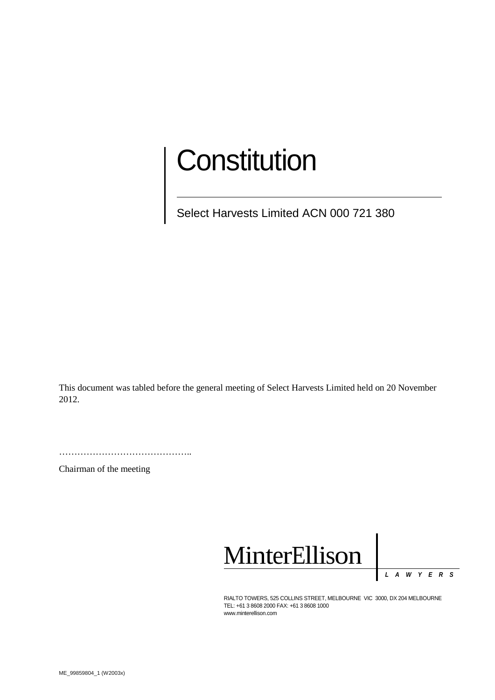# **Constitution**

Select Harvests Limited ACN 000 721 380

This document was tabled before the general meeting of Select Harvests Limited held on 20 November 2012.

……………………………………………

Chairman of the meeting



*LAWYER S*

RIALTO TOWERS, 525 COLLINS STREET, MELBOURNE VIC 3000, DX 204 MELBOURNE TEL: +61 3 8608 2000 FAX: +61 3 8608 1000 www.minterellison.com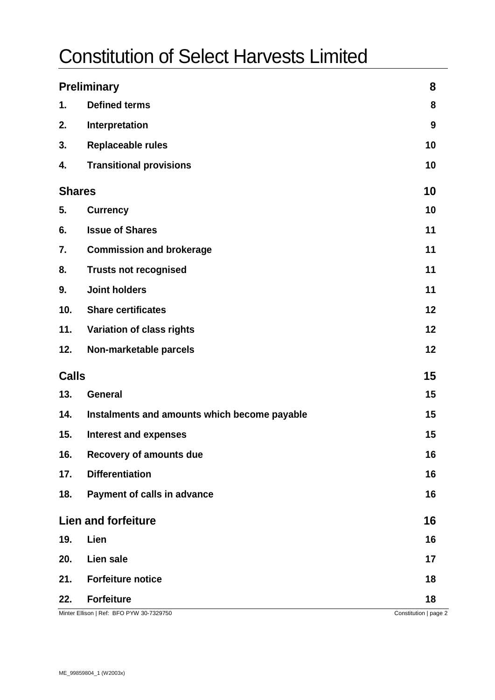# Constitution of Select Harvests Limited

| <b>Preliminary</b> |                                              | 8                     |
|--------------------|----------------------------------------------|-----------------------|
| 1.                 | <b>Defined terms</b>                         | 8                     |
| 2.                 | Interpretation                               | 9                     |
| 3.                 | <b>Replaceable rules</b>                     | 10                    |
| 4.                 | <b>Transitional provisions</b>               | 10                    |
| <b>Shares</b>      |                                              | 10                    |
| 5.                 | <b>Currency</b>                              | 10                    |
| 6.                 | <b>Issue of Shares</b>                       | 11                    |
| 7.                 | <b>Commission and brokerage</b>              | 11                    |
| 8.                 | <b>Trusts not recognised</b>                 | 11                    |
| 9.                 | <b>Joint holders</b>                         | 11                    |
| 10.                | <b>Share certificates</b>                    | 12                    |
| 11.                | Variation of class rights                    | 12                    |
| 12.                | Non-marketable parcels                       | 12                    |
| <b>Calls</b>       |                                              | 15                    |
| 13.                | <b>General</b>                               | 15                    |
| 14.                | Instalments and amounts which become payable | 15                    |
| 15.                | <b>Interest and expenses</b>                 | 15                    |
| 16.                | <b>Recovery of amounts due</b>               | 16                    |
| 17.                | <b>Differentiation</b>                       | 16                    |
| 18.                | Payment of calls in advance                  | 16                    |
|                    | <b>Lien and forfeiture</b>                   | 16                    |
| 19.                | Lien                                         | 16                    |
| 20.                | Lien sale                                    | 17                    |
| 21.                | <b>Forfeiture notice</b>                     | 18                    |
| 22.                | <b>Forfeiture</b>                            | 18                    |
|                    | Minter Ellison   Ref: BFO PYW 30-7329750     | Constitution   page 2 |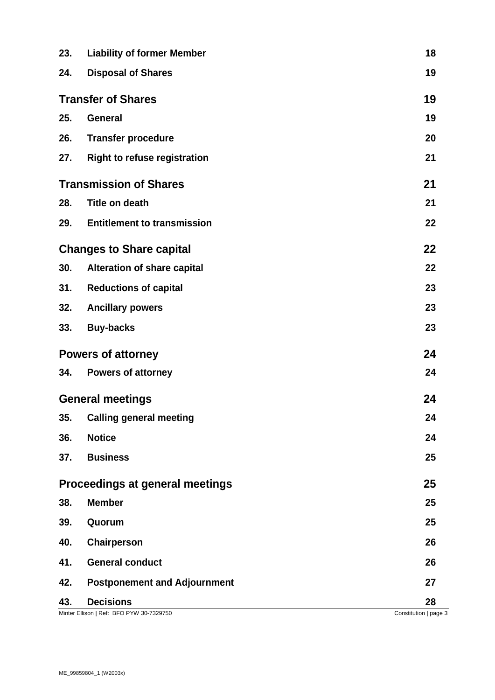| 23.                           | <b>Liability of former Member</b>                            | 18                          |
|-------------------------------|--------------------------------------------------------------|-----------------------------|
| 24.                           | <b>Disposal of Shares</b>                                    | 19                          |
| <b>Transfer of Shares</b>     |                                                              | 19                          |
| 25.                           | <b>General</b>                                               | 19                          |
| 26.                           | <b>Transfer procedure</b>                                    | 20                          |
| 27.                           | <b>Right to refuse registration</b>                          | 21                          |
| <b>Transmission of Shares</b> |                                                              | 21                          |
| 28.                           | <b>Title on death</b>                                        | 21                          |
| 29.                           | <b>Entitlement to transmission</b>                           | 22                          |
|                               | <b>Changes to Share capital</b>                              | 22                          |
| 30.                           | Alteration of share capital                                  | 22                          |
| 31.                           | <b>Reductions of capital</b>                                 | 23                          |
| 32.                           | <b>Ancillary powers</b>                                      | 23                          |
| 33.                           | <b>Buy-backs</b>                                             | 23                          |
| <b>Powers of attorney</b>     |                                                              | 24                          |
| 34.                           | <b>Powers of attorney</b>                                    | 24                          |
| <b>General meetings</b>       |                                                              | 24                          |
| 35.                           | <b>Calling general meeting</b>                               | 24                          |
| 36.                           | <b>Notice</b>                                                | 24                          |
| 37.                           | <b>Business</b>                                              | 25                          |
|                               | Proceedings at general meetings                              | 25                          |
| 38.                           | <b>Member</b>                                                | 25                          |
| 39.                           | Quorum                                                       | 25                          |
| 40.                           | <b>Chairperson</b>                                           | 26                          |
| 41.                           | <b>General conduct</b>                                       | 26                          |
| 42.                           | <b>Postponement and Adjournment</b>                          | 27                          |
| 43.                           | <b>Decisions</b><br>Minter Ellison   Ref: BFO PYW 30-7329750 | 28<br>Constitution   page 3 |
|                               |                                                              |                             |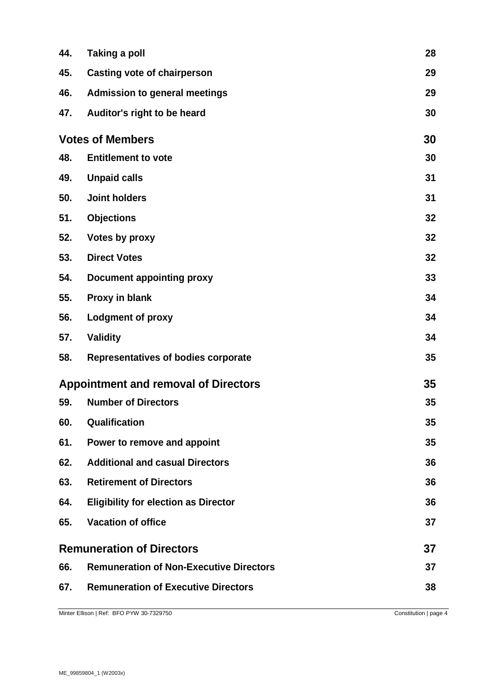| 44.                              | Taking a poll                                  | 28 |
|----------------------------------|------------------------------------------------|----|
| 45.                              | <b>Casting vote of chairperson</b>             | 29 |
| 46.                              | <b>Admission to general meetings</b>           | 29 |
| 47.                              | Auditor's right to be heard                    | 30 |
| <b>Votes of Members</b>          |                                                | 30 |
| 48.                              | <b>Entitlement to vote</b>                     | 30 |
| 49.                              | <b>Unpaid calls</b>                            | 31 |
| 50.                              | <b>Joint holders</b>                           | 31 |
| 51.                              | <b>Objections</b>                              | 32 |
| 52.                              | Votes by proxy                                 | 32 |
| 53.                              | <b>Direct Votes</b>                            | 32 |
| 54.                              | <b>Document appointing proxy</b>               | 33 |
| 55.                              | Proxy in blank                                 | 34 |
| 56.                              | <b>Lodgment of proxy</b>                       | 34 |
| 57.                              | <b>Validity</b>                                | 34 |
| 58.                              | Representatives of bodies corporate            | 35 |
|                                  | <b>Appointment and removal of Directors</b>    | 35 |
| 59.                              | <b>Number of Directors</b>                     | 35 |
| 60.                              | Qualification                                  | 35 |
| 61.                              | Power to remove and appoint                    | 35 |
| 62.                              | <b>Additional and casual Directors</b>         | 36 |
| 63.                              | <b>Retirement of Directors</b>                 | 36 |
| 64.                              | <b>Eligibility for election as Director</b>    | 36 |
| 65.                              | <b>Vacation of office</b>                      | 37 |
| <b>Remuneration of Directors</b> |                                                | 37 |
| 66.                              | <b>Remuneration of Non-Executive Directors</b> | 37 |
| 67.                              | <b>Remuneration of Executive Directors</b>     | 38 |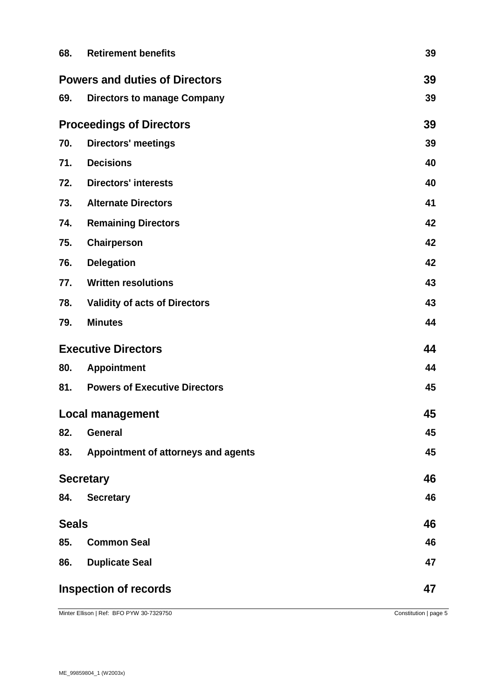| 68.                                   | <b>Retirement benefits</b>           | 39 |
|---------------------------------------|--------------------------------------|----|
| <b>Powers and duties of Directors</b> |                                      |    |
| 69.                                   | <b>Directors to manage Company</b>   | 39 |
| <b>Proceedings of Directors</b>       |                                      | 39 |
| 70.                                   | <b>Directors' meetings</b>           | 39 |
| 71.                                   | <b>Decisions</b>                     | 40 |
| 72.                                   | <b>Directors' interests</b>          | 40 |
| 73.                                   | <b>Alternate Directors</b>           | 41 |
| 74.                                   | <b>Remaining Directors</b>           | 42 |
| 75.                                   | Chairperson                          | 42 |
| 76.                                   | <b>Delegation</b>                    | 42 |
| 77.                                   | <b>Written resolutions</b>           | 43 |
| 78.                                   | <b>Validity of acts of Directors</b> | 43 |
| 79.                                   | <b>Minutes</b>                       | 44 |
| <b>Executive Directors</b>            |                                      | 44 |
| 80.                                   | <b>Appointment</b>                   | 44 |
|                                       |                                      |    |
| 81.                                   | <b>Powers of Executive Directors</b> | 45 |
|                                       | <b>Local management</b>              | 45 |
| 82.                                   | <b>General</b>                       | 45 |
| 83.                                   | Appointment of attorneys and agents  | 45 |
| <b>Secretary</b>                      |                                      | 46 |
| 84.                                   | <b>Secretary</b>                     | 46 |
| <b>Seals</b>                          |                                      | 46 |
| 85.                                   | <b>Common Seal</b>                   | 46 |
| 86.                                   | <b>Duplicate Seal</b>                | 47 |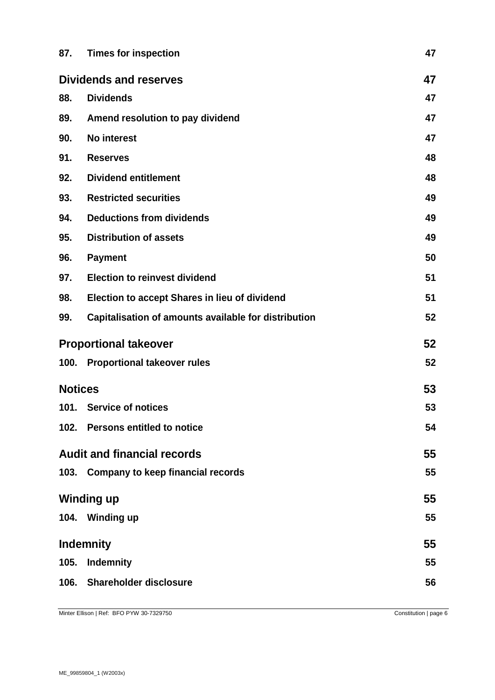| 87.                           | <b>Times for inspection</b>                          | 47 |
|-------------------------------|------------------------------------------------------|----|
| <b>Dividends and reserves</b> | 47                                                   |    |
| 88.                           | <b>Dividends</b>                                     | 47 |
| 89.                           | Amend resolution to pay dividend                     | 47 |
| 90.                           | <b>No interest</b>                                   | 47 |
| 91.                           | <b>Reserves</b>                                      | 48 |
| 92.                           | <b>Dividend entitlement</b>                          | 48 |
| 93.                           | <b>Restricted securities</b>                         | 49 |
| 94.                           | <b>Deductions from dividends</b>                     | 49 |
| 95.                           | <b>Distribution of assets</b>                        | 49 |
| 96.                           | <b>Payment</b>                                       | 50 |
| 97.                           | <b>Election to reinvest dividend</b>                 | 51 |
| 98.                           | <b>Election to accept Shares in lieu of dividend</b> | 51 |
| 99.                           | Capitalisation of amounts available for distribution | 52 |
| <b>Proportional takeover</b>  |                                                      | 52 |
|                               | 100. Proportional takeover rules                     | 52 |
| <b>Notices</b>                |                                                      | 53 |
|                               | 101. Service of notices                              | 53 |
| 102.                          | <b>Persons entitled to notice</b>                    | 54 |
|                               | <b>Audit and financial records</b>                   | 55 |
|                               | 103. Company to keep financial records               | 55 |
|                               | <b>Winding up</b>                                    | 55 |
|                               | 104. Winding up                                      | 55 |
| <b>Indemnity</b>              |                                                      | 55 |
| 105.                          | <b>Indemnity</b>                                     | 55 |
| 106.                          | <b>Shareholder disclosure</b>                        | 56 |
|                               |                                                      |    |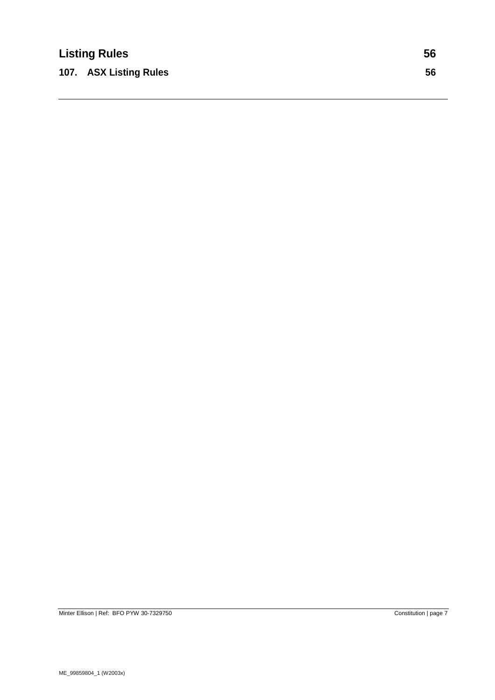**107. ASX Listing Rules 56**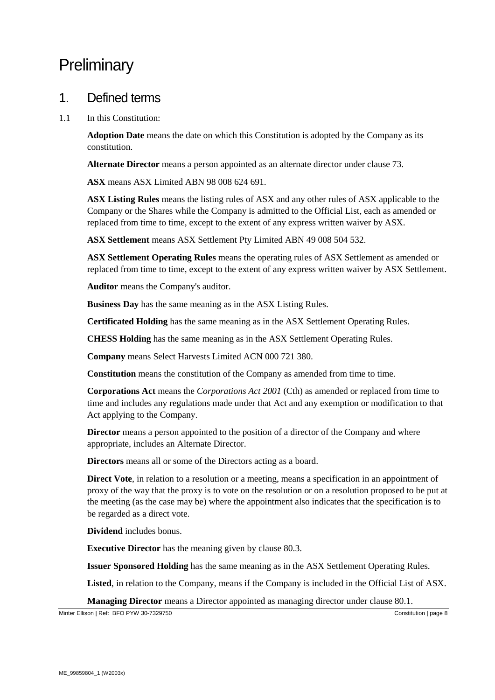# **Preliminary**

#### 1. Defined terms

1.1 In this Constitution:

**Adoption Date** means the date on which this Constitution is adopted by the Company as its constitution.

**Alternate Director** means a person appointed as an alternate director under clause [73.](#page-40-0)

**ASX** means ASX Limited ABN 98 008 624 691.

**ASX Listing Rules** means the listing rules of ASX and any other rules of ASX applicable to the Company or the Shares while the Company is admitted to the Official List, each as amended or replaced from time to time, except to the extent of any express written waiver by ASX.

**ASX Settlement** means ASX Settlement Pty Limited ABN 49 008 504 532.

**ASX Settlement Operating Rules** means the operating rules of ASX Settlement as amended or replaced from time to time, except to the extent of any express written waiver by ASX Settlement.

**Auditor** means the Company's auditor.

**Business Day** has the same meaning as in the ASX Listing Rules.

**Certificated Holding** has the same meaning as in the ASX Settlement Operating Rules.

**CHESS Holding** has the same meaning as in the ASX Settlement Operating Rules.

**Company** means Select Harvests Limited ACN 000 721 380.

**Constitution** means the constitution of the Company as amended from time to time.

**Corporations Act** means the *Corporations Act 2001* (Cth) as amended or replaced from time to time and includes any regulations made under that Act and any exemption or modification to that Act applying to the Company.

**Director** means a person appointed to the position of a director of the Company and where appropriate, includes an Alternate Director.

**Directors** means all or some of the Directors acting as a board.

**Direct Vote**, in relation to a resolution or a meeting, means a specification in an appointment of proxy of the way that the proxy is to vote on the resolution or on a resolution proposed to be put at the meeting (as the case may be) where the appointment also indicates that the specification is to be regarded as a direct vote.

**Dividend** includes bonus.

**Executive Director** has the meaning given by clause [80.3.](#page-43-0)

**Issuer Sponsored Holding** has the same meaning as in the ASX Settlement Operating Rules.

**Listed**, in relation to the Company, means if the Company is included in the Official List of ASX.

**Managing Director** means a Director appointed as managing director under clause [80.1.](#page-43-1)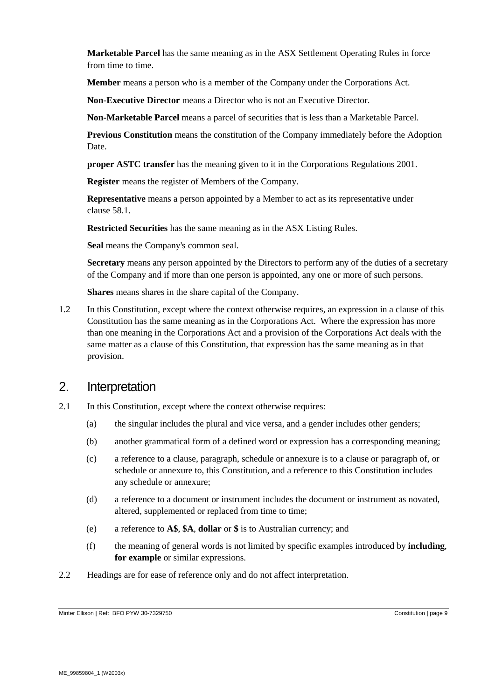**Marketable Parcel** has the same meaning as in the ASX Settlement Operating Rules in force from time to time.

**Member** means a person who is a member of the Company under the Corporations Act.

**Non-Executive Director** means a Director who is not an Executive Director.

**Non-Marketable Parcel** means a parcel of securities that is less than a Marketable Parcel.

**Previous Constitution** means the constitution of the Company immediately before the Adoption Date.

**proper ASTC transfer** has the meaning given to it in the Corporations Regulations 2001.

**Register** means the register of Members of the Company.

**Representative** means a person appointed by a Member to act as its representative under clause [58.1.](#page-34-0)

**Restricted Securities** has the same meaning as in the ASX Listing Rules.

**Seal** means the Company's common seal.

**Secretary** means any person appointed by the Directors to perform any of the duties of a secretary of the Company and if more than one person is appointed, any one or more of such persons.

**Shares** means shares in the share capital of the Company.

1.2 In this Constitution, except where the context otherwise requires, an expression in a clause of this Constitution has the same meaning as in the Corporations Act. Where the expression has more than one meaning in the Corporations Act and a provision of the Corporations Act deals with the same matter as a clause of this Constitution, that expression has the same meaning as in that provision.

#### 2. Interpretation

- 2.1 In this Constitution, except where the context otherwise requires:
	- (a) the singular includes the plural and vice versa, and a gender includes other genders;
	- (b) another grammatical form of a defined word or expression has a corresponding meaning;
	- (c) a reference to a clause, paragraph, schedule or annexure is to a clause or paragraph of, or schedule or annexure to, this Constitution, and a reference to this Constitution includes any schedule or annexure;
	- (d) a reference to a document or instrument includes the document or instrument as novated, altered, supplemented or replaced from time to time;
	- (e) a reference to **A\$**, **\$A**, **dollar** or **\$** is to Australian currency; and
	- (f) the meaning of general words is not limited by specific examples introduced by **including**, **for example** or similar expressions.
- 2.2 Headings are for ease of reference only and do not affect interpretation.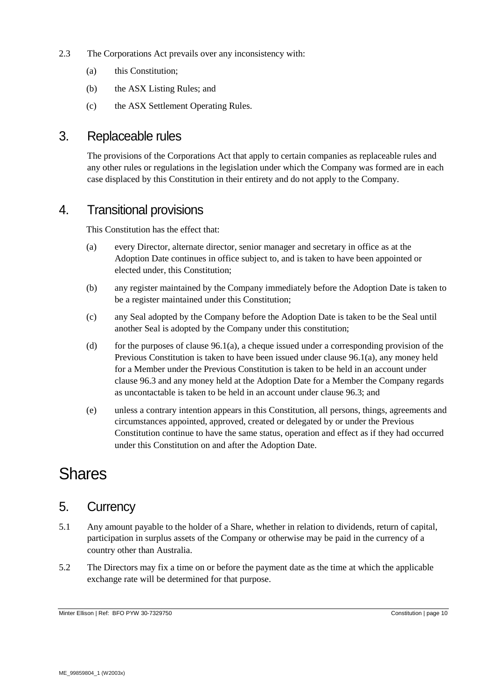- 2.3 The Corporations Act prevails over any inconsistency with:
	- (a) this Constitution;
	- (b) the ASX Listing Rules; and
	- (c) the ASX Settlement Operating Rules.

#### 3. Replaceable rules

The provisions of the Corporations Act that apply to certain companies as replaceable rules and any other rules or regulations in the legislation under which the Company was formed are in each case displaced by this Constitution in their entirety and do not apply to the Company.

#### 4. Transitional provisions

This Constitution has the effect that:

- (a) every Director, alternate director, senior manager and secretary in office as at the Adoption Date continues in office subject to, and is taken to have been appointed or elected under, this Constitution;
- (b) any register maintained by the Company immediately before the Adoption Date is taken to be a register maintained under this Constitution;
- (c) any Seal adopted by the Company before the Adoption Date is taken to be the Seal until another Seal is adopted by the Company under this constitution;
- (d) for the purposes of clause  $96.1(a)$ , a cheque issued under a corresponding provision of the Previous Constitution is taken to have been issued under claus[e 96.1\(a\),](#page-49-0) any money held for a Member under the Previous Constitution is taken to be held in an account under clause [96.3](#page-49-1) and any money held at the Adoption Date for a Member the Company regards as uncontactable is taken to be held in an account under clause [96.3;](#page-49-1) and
- (e) unless a contrary intention appears in this Constitution, all persons, things, agreements and circumstances appointed, approved, created or delegated by or under the Previous Constitution continue to have the same status, operation and effect as if they had occurred under this Constitution on and after the Adoption Date.

# **Shares**

#### 5. Currency

- 5.1 Any amount payable to the holder of a Share, whether in relation to dividends, return of capital, participation in surplus assets of the Company or otherwise may be paid in the currency of a country other than Australia.
- 5.2 The Directors may fix a time on or before the payment date as the time at which the applicable exchange rate will be determined for that purpose.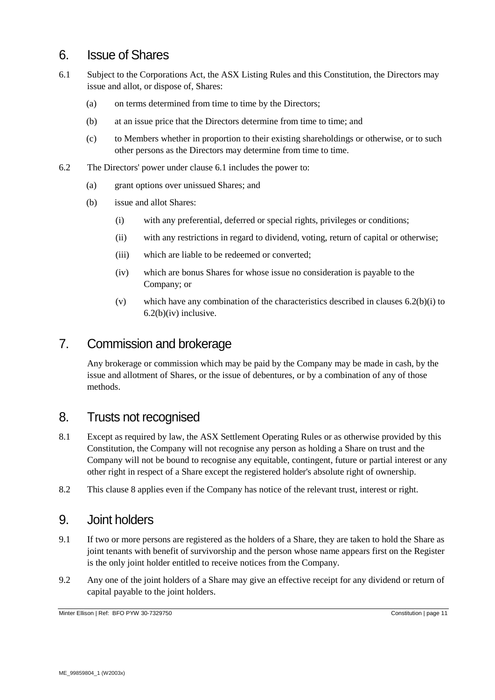### 6. Issue of Shares

- <span id="page-10-0"></span>6.1 Subject to the Corporations Act, the ASX Listing Rules and this Constitution, the Directors may issue and allot, or dispose of, Shares:
	- (a) on terms determined from time to time by the Directors;
	- (b) at an issue price that the Directors determine from time to time; and
	- (c) to Members whether in proportion to their existing shareholdings or otherwise, or to such other persons as the Directors may determine from time to time.
- <span id="page-10-1"></span>6.2 The Directors' power under clause [6.1](#page-10-0) includes the power to:
	- (a) grant options over unissued Shares; and
	- (b) issue and allot Shares:
		- (i) with any preferential, deferred or special rights, privileges or conditions;
		- (ii) with any restrictions in regard to dividend, voting, return of capital or otherwise;
		- (iii) which are liable to be redeemed or converted;
		- (iv) which are bonus Shares for whose issue no consideration is payable to the Company; or
		- (v) which have any combination of the characteristics described in clauses [6.2\(b\)\(i\)](#page-10-1) to  $6.2(b)(iv)$  inclusive.

# <span id="page-10-2"></span>7. Commission and brokerage

Any brokerage or commission which may be paid by the Company may be made in cash, by the issue and allotment of Shares, or the issue of debentures, or by a combination of any of those methods.

#### <span id="page-10-3"></span>8. Trusts not recognised

- 8.1 Except as required by law, the ASX Settlement Operating Rules or as otherwise provided by this Constitution, the Company will not recognise any person as holding a Share on trust and the Company will not be bound to recognise any equitable, contingent, future or partial interest or any other right in respect of a Share except the registered holder's absolute right of ownership.
- 8.2 This clause [8](#page-10-3) applies even if the Company has notice of the relevant trust, interest or right.

#### 9. Joint holders

- 9.1 If two or more persons are registered as the holders of a Share, they are taken to hold the Share as joint tenants with benefit of survivorship and the person whose name appears first on the Register is the only joint holder entitled to receive notices from the Company.
- 9.2 Any one of the joint holders of a Share may give an effective receipt for any dividend or return of capital payable to the joint holders.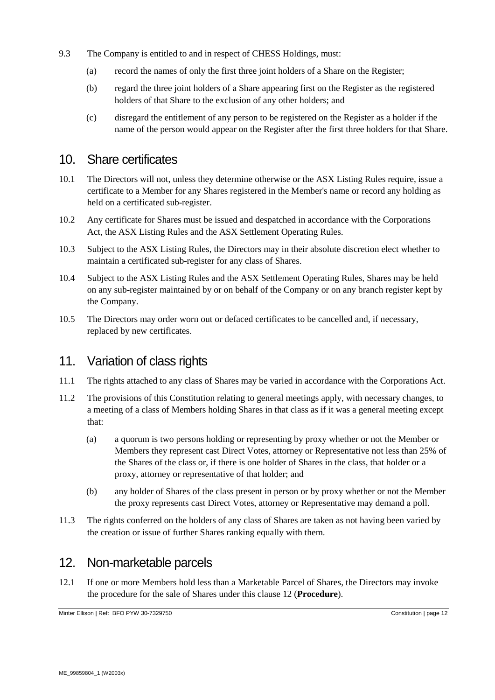- 9.3 The Company is entitled to and in respect of CHESS Holdings, must:
	- (a) record the names of only the first three joint holders of a Share on the Register;
	- (b) regard the three joint holders of a Share appearing first on the Register as the registered holders of that Share to the exclusion of any other holders; and
	- (c) disregard the entitlement of any person to be registered on the Register as a holder if the name of the person would appear on the Register after the first three holders for that Share.

#### 10. Share certificates

- 10.1 The Directors will not, unless they determine otherwise or the ASX Listing Rules require, issue a certificate to a Member for any Shares registered in the Member's name or record any holding as held on a certificated sub-register.
- 10.2 Any certificate for Shares must be issued and despatched in accordance with the Corporations Act, the ASX Listing Rules and the ASX Settlement Operating Rules.
- 10.3 Subject to the ASX Listing Rules, the Directors may in their absolute discretion elect whether to maintain a certificated sub-register for any class of Shares.
- 10.4 Subject to the ASX Listing Rules and the ASX Settlement Operating Rules, Shares may be held on any sub-register maintained by or on behalf of the Company or on any branch register kept by the Company.
- 10.5 The Directors may order worn out or defaced certificates to be cancelled and, if necessary, replaced by new certificates.

#### 11. Variation of class rights

- 11.1 The rights attached to any class of Shares may be varied in accordance with the Corporations Act.
- 11.2 The provisions of this Constitution relating to general meetings apply, with necessary changes, to a meeting of a class of Members holding Shares in that class as if it was a general meeting except that:
	- (a) a quorum is two persons holding or representing by proxy whether or not the Member or Members they represent cast Direct Votes, attorney or Representative not less than 25% of the Shares of the class or, if there is one holder of Shares in the class, that holder or a proxy, attorney or representative of that holder; and
	- (b) any holder of Shares of the class present in person or by proxy whether or not the Member the proxy represents cast Direct Votes, attorney or Representative may demand a poll.
- 11.3 The rights conferred on the holders of any class of Shares are taken as not having been varied by the creation or issue of further Shares ranking equally with them.

#### <span id="page-11-0"></span>12. Non-marketable parcels

12.1 If one or more Members hold less than a Marketable Parcel of Shares, the Directors may invoke the procedure for the sale of Shares under this clause [12](#page-11-0) (**Procedure**).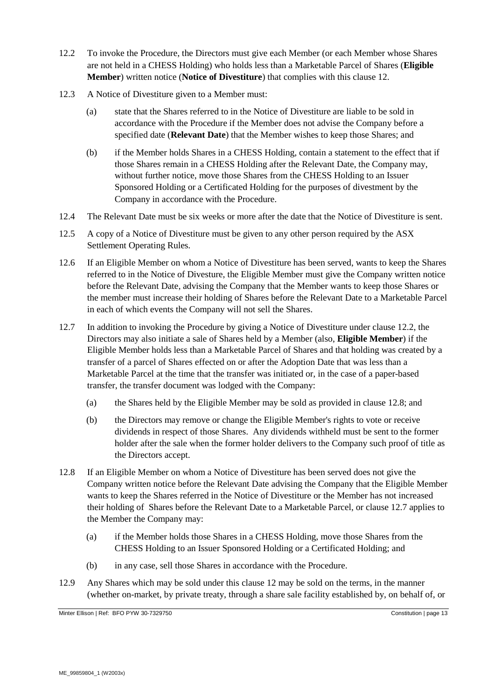- <span id="page-12-0"></span>12.2 To invoke the Procedure, the Directors must give each Member (or each Member whose Shares are not held in a CHESS Holding) who holds less than a Marketable Parcel of Shares (**Eligible Member**) written notice (**Notice of Divestiture**) that complies with this clause [12.](#page-11-0)
- 12.3 A Notice of Divestiture given to a Member must:
	- (a) state that the Shares referred to in the Notice of Divestiture are liable to be sold in accordance with the Procedure if the Member does not advise the Company before a specified date (**Relevant Date**) that the Member wishes to keep those Shares; and
	- (b) if the Member holds Shares in a CHESS Holding, contain a statement to the effect that if those Shares remain in a CHESS Holding after the Relevant Date, the Company may, without further notice, move those Shares from the CHESS Holding to an Issuer Sponsored Holding or a Certificated Holding for the purposes of divestment by the Company in accordance with the Procedure.
- 12.4 The Relevant Date must be six weeks or more after the date that the Notice of Divestiture is sent.
- 12.5 A copy of a Notice of Divestiture must be given to any other person required by the ASX Settlement Operating Rules.
- 12.6 If an Eligible Member on whom a Notice of Divestiture has been served, wants to keep the Shares referred to in the Notice of Divesture, the Eligible Member must give the Company written notice before the Relevant Date, advising the Company that the Member wants to keep those Shares or the member must increase their holding of Shares before the Relevant Date to a Marketable Parcel in each of which events the Company will not sell the Shares.
- <span id="page-12-2"></span>12.7 In addition to invoking the Procedure by giving a Notice of Divestiture under clause [12.2,](#page-12-0) the Directors may also initiate a sale of Shares held by a Member (also, **Eligible Member**) if the Eligible Member holds less than a Marketable Parcel of Shares and that holding was created by a transfer of a parcel of Shares effected on or after the Adoption Date that was less than a Marketable Parcel at the time that the transfer was initiated or, in the case of a paper-based transfer, the transfer document was lodged with the Company:
	- (a) the Shares held by the Eligible Member may be sold as provided in claus[e 12.8;](#page-12-1) and
	- (b) the Directors may remove or change the Eligible Member's rights to vote or receive dividends in respect of those Shares. Any dividends withheld must be sent to the former holder after the sale when the former holder delivers to the Company such proof of title as the Directors accept.
- <span id="page-12-1"></span>12.8 If an Eligible Member on whom a Notice of Divestiture has been served does not give the Company written notice before the Relevant Date advising the Company that the Eligible Member wants to keep the Shares referred in the Notice of Divestiture or the Member has not increased their holding of Shares before the Relevant Date to a Marketable Parcel, or clause [12.7](#page-12-2) applies to the Member the Company may:
	- (a) if the Member holds those Shares in a CHESS Holding, move those Shares from the CHESS Holding to an Issuer Sponsored Holding or a Certificated Holding; and
	- (b) in any case, sell those Shares in accordance with the Procedure.
- 12.9 Any Shares which may be sold under this clause [12](#page-11-0) may be sold on the terms, in the manner (whether on-market, by private treaty, through a share sale facility established by, on behalf of, or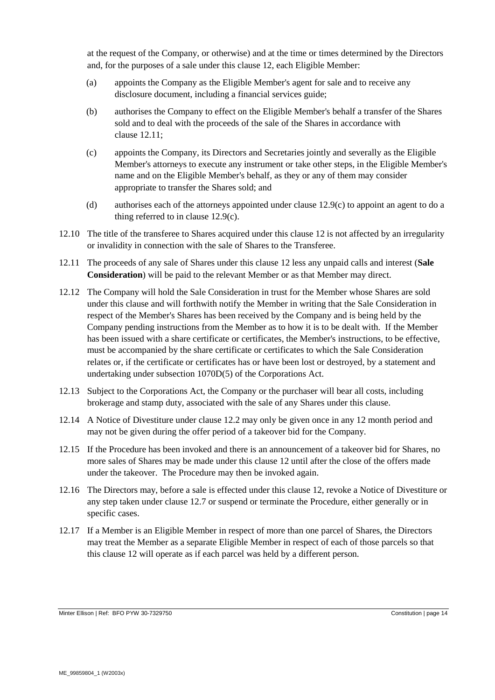at the request of the Company, or otherwise) and at the time or times determined by the Directors and, for the purposes of a sale under this clause [12,](#page-11-0) each Eligible Member:

- (a) appoints the Company as the Eligible Member's agent for sale and to receive any disclosure document, including a financial services guide;
- (b) authorises the Company to effect on the Eligible Member's behalf a transfer of the Shares sold and to deal with the proceeds of the sale of the Shares in accordance with clause [12.11;](#page-13-0)
- <span id="page-13-1"></span>(c) appoints the Company, its Directors and Secretaries jointly and severally as the Eligible Member's attorneys to execute any instrument or take other steps, in the Eligible Member's name and on the Eligible Member's behalf, as they or any of them may consider appropriate to transfer the Shares sold; and
- (d) authorises each of the attorneys appointed under clause [12.9\(c\)](#page-13-1) to appoint an agent to do a thing referred to in clause [12.9\(c\).](#page-13-1)
- 12.10 The title of the transferee to Shares acquired under this clause [12](#page-11-0) is not affected by an irregularity or invalidity in connection with the sale of Shares to the Transferee.
- <span id="page-13-0"></span>12.11 The proceeds of any sale of Shares under this clause [12](#page-11-0) less any unpaid calls and interest (**Sale Consideration**) will be paid to the relevant Member or as that Member may direct.
- 12.12 The Company will hold the Sale Consideration in trust for the Member whose Shares are sold under this clause and will forthwith notify the Member in writing that the Sale Consideration in respect of the Member's Shares has been received by the Company and is being held by the Company pending instructions from the Member as to how it is to be dealt with. If the Member has been issued with a share certificate or certificates, the Member's instructions, to be effective, must be accompanied by the share certificate or certificates to which the Sale Consideration relates or, if the certificate or certificates has or have been lost or destroyed, by a statement and undertaking under subsection 1070D(5) of the Corporations Act.
- 12.13 Subject to the Corporations Act, the Company or the purchaser will bear all costs, including brokerage and stamp duty, associated with the sale of any Shares under this clause.
- 12.14 A Notice of Divestiture under clause [12.2](#page-12-0) may only be given once in any 12 month period and may not be given during the offer period of a takeover bid for the Company.
- 12.15 If the Procedure has been invoked and there is an announcement of a takeover bid for Shares, no more sales of Shares may be made under this clause [12](#page-11-0) until after the close of the offers made under the takeover. The Procedure may then be invoked again.
- 12.16 The Directors may, before a sale is effected under this clause [12,](#page-11-0) revoke a Notice of Divestiture or any step taken under clause [12.7](#page-12-2) or suspend or terminate the Procedure, either generally or in specific cases.
- 12.17 If a Member is an Eligible Member in respect of more than one parcel of Shares, the Directors may treat the Member as a separate Eligible Member in respect of each of those parcels so that this clause [12](#page-11-0) will operate as if each parcel was held by a different person.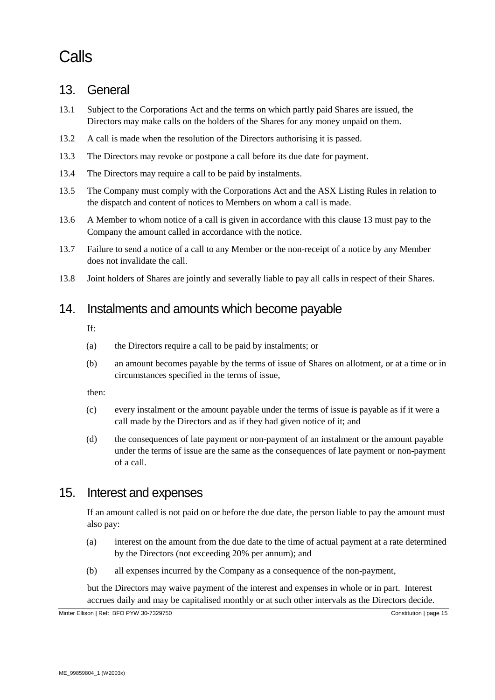# Calls

### <span id="page-14-0"></span>13. General

- 13.1 Subject to the Corporations Act and the terms on which partly paid Shares are issued, the Directors may make calls on the holders of the Shares for any money unpaid on them.
- 13.2 A call is made when the resolution of the Directors authorising it is passed.
- 13.3 The Directors may revoke or postpone a call before its due date for payment.
- 13.4 The Directors may require a call to be paid by instalments.
- 13.5 The Company must comply with the Corporations Act and the ASX Listing Rules in relation to the dispatch and content of notices to Members on whom a call is made.
- 13.6 A Member to whom notice of a call is given in accordance with this clause [13](#page-14-0) must pay to the Company the amount called in accordance with the notice.
- 13.7 Failure to send a notice of a call to any Member or the non-receipt of a notice by any Member does not invalidate the call.
- 13.8 Joint holders of Shares are jointly and severally liable to pay all calls in respect of their Shares.

### 14. Instalments and amounts which become payable

If:

- (a) the Directors require a call to be paid by instalments; or
- (b) an amount becomes payable by the terms of issue of Shares on allotment, or at a time or in circumstances specified in the terms of issue,

then:

- (c) every instalment or the amount payable under the terms of issue is payable as if it were a call made by the Directors and as if they had given notice of it; and
- (d) the consequences of late payment or non-payment of an instalment or the amount payable under the terms of issue are the same as the consequences of late payment or non-payment of a call.

#### 15. Interest and expenses

If an amount called is not paid on or before the due date, the person liable to pay the amount must also pay:

- (a) interest on the amount from the due date to the time of actual payment at a rate determined by the Directors (not exceeding 20% per annum); and
- (b) all expenses incurred by the Company as a consequence of the non-payment,

but the Directors may waive payment of the interest and expenses in whole or in part. Interest accrues daily and may be capitalised monthly or at such other intervals as the Directors decide.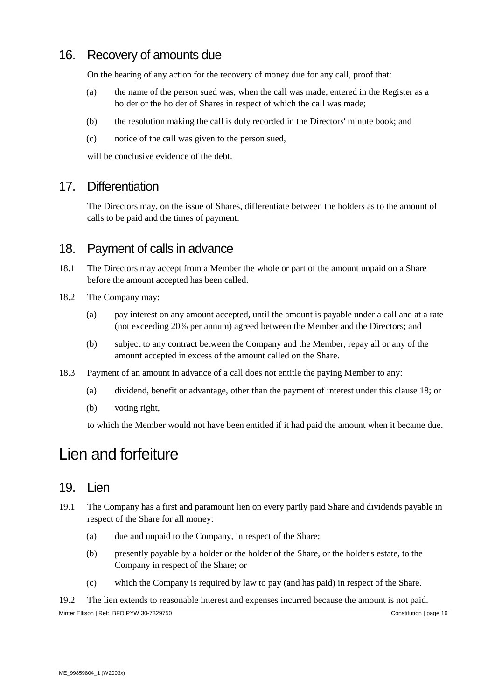# 16. Recovery of amounts due

On the hearing of any action for the recovery of money due for any call, proof that:

- (a) the name of the person sued was, when the call was made, entered in the Register as a holder or the holder of Shares in respect of which the call was made;
- (b) the resolution making the call is duly recorded in the Directors' minute book; and
- (c) notice of the call was given to the person sued,

will be conclusive evidence of the debt.

### 17. Differentiation

The Directors may, on the issue of Shares, differentiate between the holders as to the amount of calls to be paid and the times of payment.

#### <span id="page-15-0"></span>18. Payment of calls in advance

- 18.1 The Directors may accept from a Member the whole or part of the amount unpaid on a Share before the amount accepted has been called.
- 18.2 The Company may:
	- (a) pay interest on any amount accepted, until the amount is payable under a call and at a rate (not exceeding 20% per annum) agreed between the Member and the Directors; and
	- (b) subject to any contract between the Company and the Member, repay all or any of the amount accepted in excess of the amount called on the Share.
- <span id="page-15-1"></span>18.3 Payment of an amount in advance of a call does not entitle the paying Member to any:
	- (a) dividend, benefit or advantage, other than the payment of interest under this clause [18;](#page-15-0) or
	- (b) voting right,

to which the Member would not have been entitled if it had paid the amount when it became due.

# Lien and forfeiture

#### 19. Lien

- 19.1 The Company has a first and paramount lien on every partly paid Share and dividends payable in respect of the Share for all money:
	- (a) due and unpaid to the Company, in respect of the Share;
	- (b) presently payable by a holder or the holder of the Share, or the holder's estate, to the Company in respect of the Share; or
	- (c) which the Company is required by law to pay (and has paid) in respect of the Share.

#### 19.2 The lien extends to reasonable interest and expenses incurred because the amount is not paid.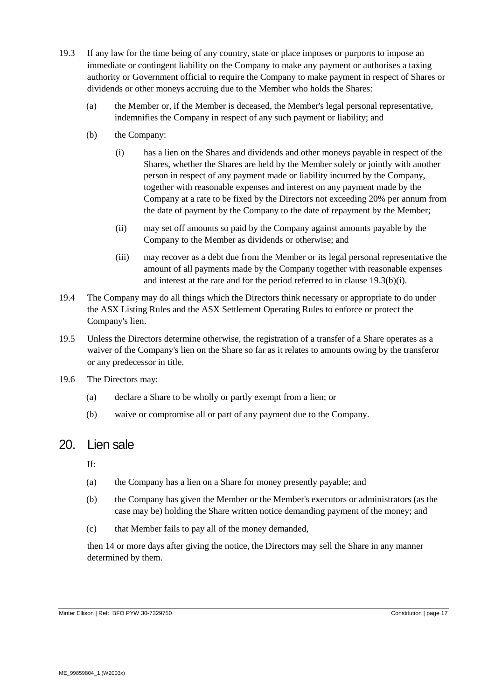- <span id="page-16-0"></span>19.3 If any law for the time being of any country, state or place imposes or purports to impose an immediate or contingent liability on the Company to make any payment or authorises a taxing authority or Government official to require the Company to make payment in respect of Shares or dividends or other moneys accruing due to the Member who holds the Shares:
	- (a) the Member or, if the Member is deceased, the Member's legal personal representative, indemnifies the Company in respect of any such payment or liability; and
	- (b) the Company:
		- (i) has a lien on the Shares and dividends and other moneys payable in respect of the Shares, whether the Shares are held by the Member solely or jointly with another person in respect of any payment made or liability incurred by the Company, together with reasonable expenses and interest on any payment made by the Company at a rate to be fixed by the Directors not exceeding 20% per annum from the date of payment by the Company to the date of repayment by the Member;
		- (ii) may set off amounts so paid by the Company against amounts payable by the Company to the Member as dividends or otherwise; and
		- (iii) may recover as a debt due from the Member or its legal personal representative the amount of all payments made by the Company together with reasonable expenses and interest at the rate and for the period referred to in clause [19.3\(b\)\(i\).](#page-16-0)
- 19.4 The Company may do all things which the Directors think necessary or appropriate to do under the ASX Listing Rules and the ASX Settlement Operating Rules to enforce or protect the Company's lien.
- 19.5 Unless the Directors determine otherwise, the registration of a transfer of a Share operates as a waiver of the Company's lien on the Share so far as it relates to amounts owing by the transferor or any predecessor in title.
- 19.6 The Directors may:
	- (a) declare a Share to be wholly or partly exempt from a lien; or
	- (b) waive or compromise all or part of any payment due to the Company.

#### 20. Lien sale

If:

- (a) the Company has a lien on a Share for money presently payable; and
- (b) the Company has given the Member or the Member's executors or administrators (as the case may be) holding the Share written notice demanding payment of the money; and
- (c) that Member fails to pay all of the money demanded,

then 14 or more days after giving the notice, the Directors may sell the Share in any manner determined by them.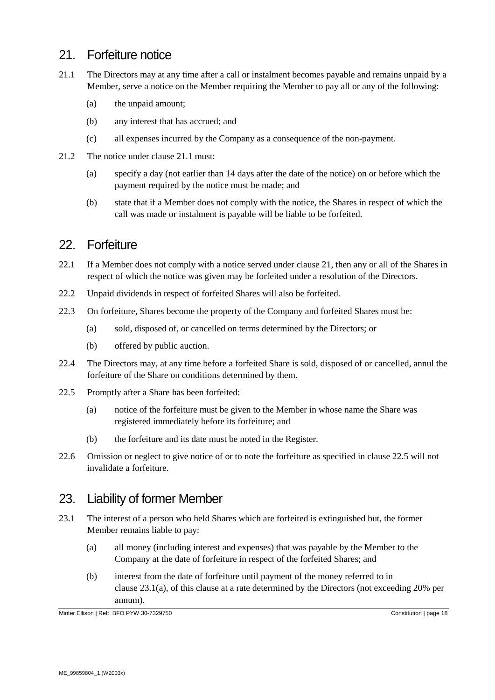### 21. Forfeiture notice

- <span id="page-17-1"></span><span id="page-17-0"></span>21.1 The Directors may at any time after a call or instalment becomes payable and remains unpaid by a Member, serve a notice on the Member requiring the Member to pay all or any of the following:
	- (a) the unpaid amount;
	- (b) any interest that has accrued; and
	- (c) all expenses incurred by the Company as a consequence of the non-payment.
- 21.2 The notice under clause [21.1](#page-17-0) must:
	- (a) specify a day (not earlier than 14 days after the date of the notice) on or before which the payment required by the notice must be made; and
	- (b) state that if a Member does not comply with the notice, the Shares in respect of which the call was made or instalment is payable will be liable to be forfeited.

# 22. Forfeiture

- <span id="page-17-4"></span>22.1 If a Member does not comply with a notice served under clause [21,](#page-17-1) then any or all of the Shares in respect of which the notice was given may be forfeited under a resolution of the Directors.
- 22.2 Unpaid dividends in respect of forfeited Shares will also be forfeited.
- 22.3 On forfeiture, Shares become the property of the Company and forfeited Shares must be:
	- (a) sold, disposed of, or cancelled on terms determined by the Directors; or
	- (b) offered by public auction.
- 22.4 The Directors may, at any time before a forfeited Share is sold, disposed of or cancelled, annul the forfeiture of the Share on conditions determined by them.
- <span id="page-17-2"></span>22.5 Promptly after a Share has been forfeited:
	- (a) notice of the forfeiture must be given to the Member in whose name the Share was registered immediately before its forfeiture; and
	- (b) the forfeiture and its date must be noted in the Register.
- 22.6 Omission or neglect to give notice of or to note the forfeiture as specified in clause [22.5](#page-17-2) will not invalidate a forfeiture.

#### 23. Liability of former Member

- <span id="page-17-3"></span>23.1 The interest of a person who held Shares which are forfeited is extinguished but, the former Member remains liable to pay:
	- (a) all money (including interest and expenses) that was payable by the Member to the Company at the date of forfeiture in respect of the forfeited Shares; and
	- (b) interest from the date of forfeiture until payment of the money referred to in clause [23.1\(a\),](#page-17-3) of this clause at a rate determined by the Directors (not exceeding 20% per annum).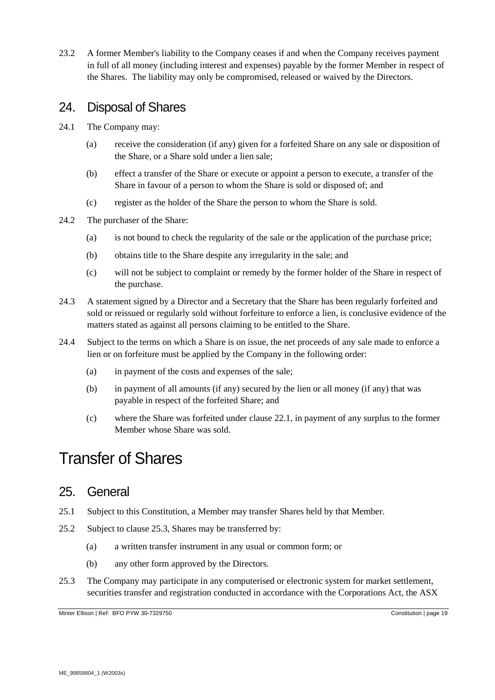23.2 A former Member's liability to the Company ceases if and when the Company receives payment in full of all money (including interest and expenses) payable by the former Member in respect of the Shares. The liability may only be compromised, released or waived by the Directors.

### 24. Disposal of Shares

- 24.1 The Company may:
	- (a) receive the consideration (if any) given for a forfeited Share on any sale or disposition of the Share, or a Share sold under a lien sale;
	- (b) effect a transfer of the Share or execute or appoint a person to execute, a transfer of the Share in favour of a person to whom the Share is sold or disposed of; and
	- (c) register as the holder of the Share the person to whom the Share is sold.
- 24.2 The purchaser of the Share:
	- (a) is not bound to check the regularity of the sale or the application of the purchase price;
	- (b) obtains title to the Share despite any irregularity in the sale; and
	- (c) will not be subject to complaint or remedy by the former holder of the Share in respect of the purchase.
- 24.3 A statement signed by a Director and a Secretary that the Share has been regularly forfeited and sold or reissued or regularly sold without forfeiture to enforce a lien, is conclusive evidence of the matters stated as against all persons claiming to be entitled to the Share.
- 24.4 Subject to the terms on which a Share is on issue, the net proceeds of any sale made to enforce a lien or on forfeiture must be applied by the Company in the following order:
	- (a) in payment of the costs and expenses of the sale;
	- (b) in payment of all amounts (if any) secured by the lien or all money (if any) that was payable in respect of the forfeited Share; and
	- (c) where the Share was forfeited under clause [22.1,](#page-17-4) in payment of any surplus to the former Member whose Share was sold.

# Transfer of Shares

#### 25. General

- 25.1 Subject to this Constitution, a Member may transfer Shares held by that Member.
- 25.2 Subject to clause [25.3,](#page-18-0) Shares may be transferred by:
	- (a) a written transfer instrument in any usual or common form; or
	- (b) any other form approved by the Directors.
- <span id="page-18-0"></span>25.3 The Company may participate in any computerised or electronic system for market settlement, securities transfer and registration conducted in accordance with the Corporations Act, the ASX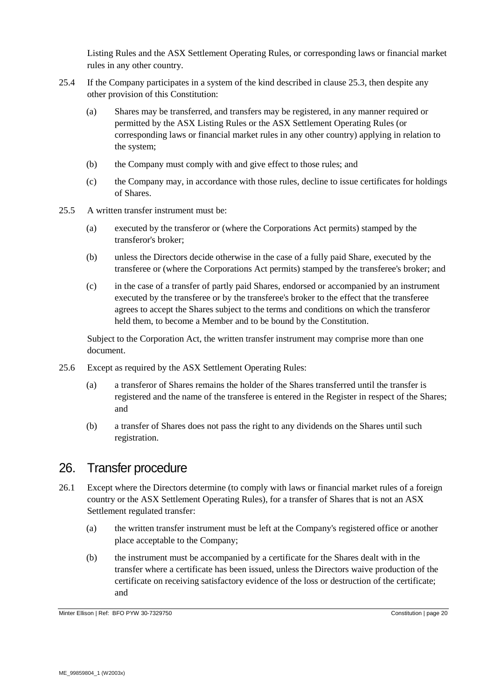Listing Rules and the ASX Settlement Operating Rules, or corresponding laws or financial market rules in any other country.

- 25.4 If the Company participates in a system of the kind described in clause [25.3,](#page-18-0) then despite any other provision of this Constitution:
	- (a) Shares may be transferred, and transfers may be registered, in any manner required or permitted by the ASX Listing Rules or the ASX Settlement Operating Rules (or corresponding laws or financial market rules in any other country) applying in relation to the system;
	- (b) the Company must comply with and give effect to those rules; and
	- (c) the Company may, in accordance with those rules, decline to issue certificates for holdings of Shares.
- 25.5 A written transfer instrument must be:
	- (a) executed by the transferor or (where the Corporations Act permits) stamped by the transferor's broker;
	- (b) unless the Directors decide otherwise in the case of a fully paid Share, executed by the transferee or (where the Corporations Act permits) stamped by the transferee's broker; and
	- (c) in the case of a transfer of partly paid Shares, endorsed or accompanied by an instrument executed by the transferee or by the transferee's broker to the effect that the transferee agrees to accept the Shares subject to the terms and conditions on which the transferor held them, to become a Member and to be bound by the Constitution.

Subject to the Corporation Act, the written transfer instrument may comprise more than one document.

- 25.6 Except as required by the ASX Settlement Operating Rules:
	- (a) a transferor of Shares remains the holder of the Shares transferred until the transfer is registered and the name of the transferee is entered in the Register in respect of the Shares; and
	- (b) a transfer of Shares does not pass the right to any dividends on the Shares until such registration.

#### 26. Transfer procedure

- 26.1 Except where the Directors determine (to comply with laws or financial market rules of a foreign country or the ASX Settlement Operating Rules), for a transfer of Shares that is not an ASX Settlement regulated transfer:
	- (a) the written transfer instrument must be left at the Company's registered office or another place acceptable to the Company;
	- (b) the instrument must be accompanied by a certificate for the Shares dealt with in the transfer where a certificate has been issued, unless the Directors waive production of the certificate on receiving satisfactory evidence of the loss or destruction of the certificate; and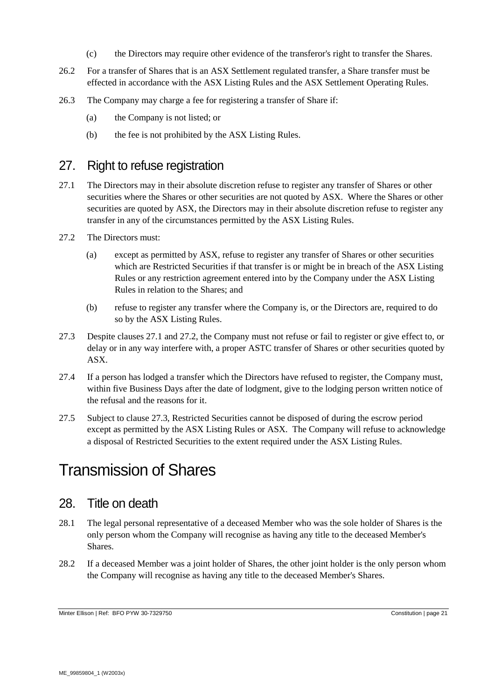- (c) the Directors may require other evidence of the transferor's right to transfer the Shares.
- 26.2 For a transfer of Shares that is an ASX Settlement regulated transfer, a Share transfer must be effected in accordance with the ASX Listing Rules and the ASX Settlement Operating Rules.
- 26.3 The Company may charge a fee for registering a transfer of Share if:
	- (a) the Company is not listed; or
	- (b) the fee is not prohibited by the ASX Listing Rules.

#### <span id="page-20-3"></span>27. Right to refuse registration

- <span id="page-20-0"></span>27.1 The Directors may in their absolute discretion refuse to register any transfer of Shares or other securities where the Shares or other securities are not quoted by ASX. Where the Shares or other securities are quoted by ASX, the Directors may in their absolute discretion refuse to register any transfer in any of the circumstances permitted by the ASX Listing Rules.
- <span id="page-20-1"></span>27.2 The Directors must:
	- (a) except as permitted by ASX, refuse to register any transfer of Shares or other securities which are Restricted Securities if that transfer is or might be in breach of the ASX Listing Rules or any restriction agreement entered into by the Company under the ASX Listing Rules in relation to the Shares; and
	- (b) refuse to register any transfer where the Company is, or the Directors are, required to do so by the ASX Listing Rules.
- <span id="page-20-2"></span>27.3 Despite clauses [27.1](#page-20-0) and [27.2,](#page-20-1) the Company must not refuse or fail to register or give effect to, or delay or in any way interfere with, a proper ASTC transfer of Shares or other securities quoted by ASX.
- 27.4 If a person has lodged a transfer which the Directors have refused to register, the Company must, within five Business Days after the date of lodgment, give to the lodging person written notice of the refusal and the reasons for it.
- 27.5 Subject to clause [27.3,](#page-20-2) Restricted Securities cannot be disposed of during the escrow period except as permitted by the ASX Listing Rules or ASX. The Company will refuse to acknowledge a disposal of Restricted Securities to the extent required under the ASX Listing Rules.

# Transmission of Shares

#### 28. Title on death

- 28.1 The legal personal representative of a deceased Member who was the sole holder of Shares is the only person whom the Company will recognise as having any title to the deceased Member's Shares.
- 28.2 If a deceased Member was a joint holder of Shares, the other joint holder is the only person whom the Company will recognise as having any title to the deceased Member's Shares.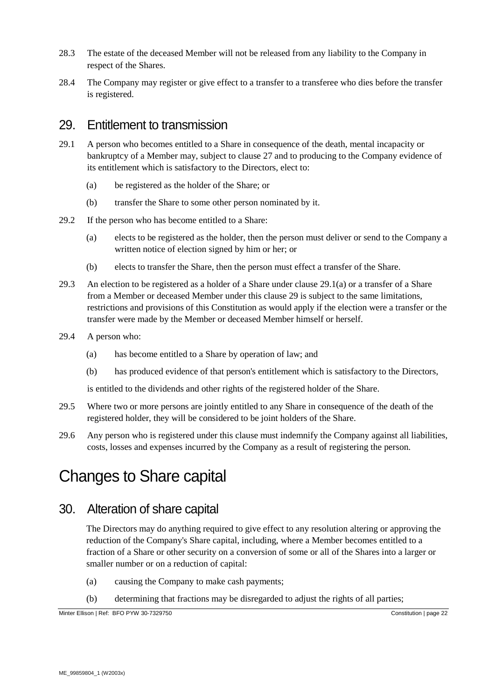- 28.3 The estate of the deceased Member will not be released from any liability to the Company in respect of the Shares.
- 28.4 The Company may register or give effect to a transfer to a transferee who dies before the transfer is registered.

### <span id="page-21-1"></span>29. Entitlement to transmission

- 29.1 A person who becomes entitled to a Share in consequence of the death, mental incapacity or bankruptcy of a Member may, subject to clause [27](#page-20-3) and to producing to the Company evidence of its entitlement which is satisfactory to the Directors, elect to:
	- (a) be registered as the holder of the Share; or
	- (b) transfer the Share to some other person nominated by it.
- <span id="page-21-0"></span>29.2 If the person who has become entitled to a Share:
	- (a) elects to be registered as the holder, then the person must deliver or send to the Company a written notice of election signed by him or her; or
	- (b) elects to transfer the Share, then the person must effect a transfer of the Share.
- 29.3 An election to be registered as a holder of a Share under clause [29.1\(a\)](#page-21-0) or a transfer of a Share from a Member or deceased Member under this clause [29](#page-21-1) is subject to the same limitations, restrictions and provisions of this Constitution as would apply if the election were a transfer or the transfer were made by the Member or deceased Member himself or herself.
- 29.4 A person who:
	- (a) has become entitled to a Share by operation of law; and
	- (b) has produced evidence of that person's entitlement which is satisfactory to the Directors,

is entitled to the dividends and other rights of the registered holder of the Share.

- 29.5 Where two or more persons are jointly entitled to any Share in consequence of the death of the registered holder, they will be considered to be joint holders of the Share.
- 29.6 Any person who is registered under this clause must indemnify the Company against all liabilities, costs, losses and expenses incurred by the Company as a result of registering the person.

# Changes to Share capital

### 30. Alteration of share capital

The Directors may do anything required to give effect to any resolution altering or approving the reduction of the Company's Share capital, including, where a Member becomes entitled to a fraction of a Share or other security on a conversion of some or all of the Shares into a larger or smaller number or on a reduction of capital:

- (a) causing the Company to make cash payments;
- (b) determining that fractions may be disregarded to adjust the rights of all parties;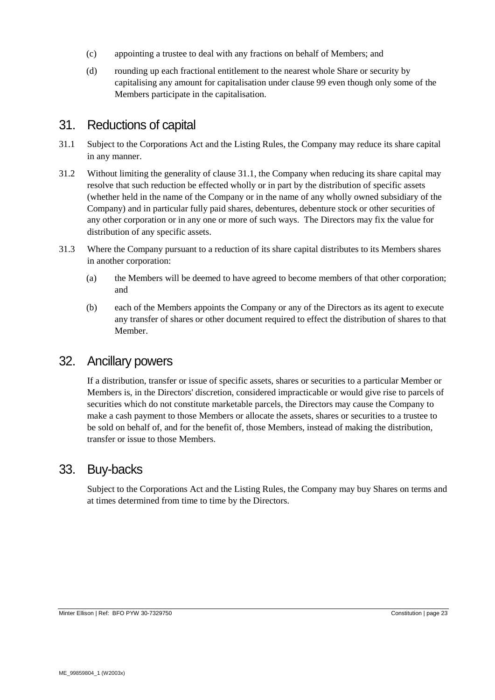- (c) appointing a trustee to deal with any fractions on behalf of Members; and
- (d) rounding up each fractional entitlement to the nearest whole Share or security by capitalising any amount for capitalisation under clause [99](#page-51-0) even though only some of the Members participate in the capitalisation.

### 31. Reductions of capital

- <span id="page-22-0"></span>31.1 Subject to the Corporations Act and the Listing Rules, the Company may reduce its share capital in any manner.
- 31.2 Without limiting the generality of clause [31.1,](#page-22-0) the Company when reducing its share capital may resolve that such reduction be effected wholly or in part by the distribution of specific assets (whether held in the name of the Company or in the name of any wholly owned subsidiary of the Company) and in particular fully paid shares, debentures, debenture stock or other securities of any other corporation or in any one or more of such ways. The Directors may fix the value for distribution of any specific assets.
- 31.3 Where the Company pursuant to a reduction of its share capital distributes to its Members shares in another corporation:
	- (a) the Members will be deemed to have agreed to become members of that other corporation; and
	- (b) each of the Members appoints the Company or any of the Directors as its agent to execute any transfer of shares or other document required to effect the distribution of shares to that Member.

### 32. Ancillary powers

If a distribution, transfer or issue of specific assets, shares or securities to a particular Member or Members is, in the Directors' discretion, considered impracticable or would give rise to parcels of securities which do not constitute marketable parcels, the Directors may cause the Company to make a cash payment to those Members or allocate the assets, shares or securities to a trustee to be sold on behalf of, and for the benefit of, those Members, instead of making the distribution, transfer or issue to those Members.

#### 33. Buy-backs

Subject to the Corporations Act and the Listing Rules, the Company may buy Shares on terms and at times determined from time to time by the Directors.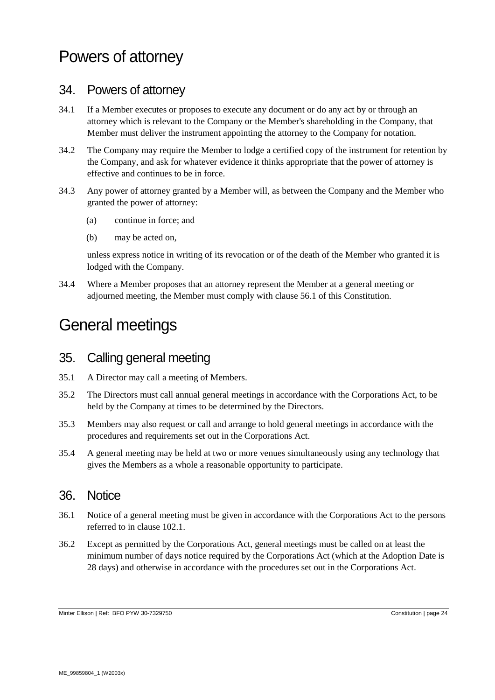# Powers of attorney

#### 34. Powers of attorney

- 34.1 If a Member executes or proposes to execute any document or do any act by or through an attorney which is relevant to the Company or the Member's shareholding in the Company, that Member must deliver the instrument appointing the attorney to the Company for notation.
- 34.2 The Company may require the Member to lodge a certified copy of the instrument for retention by the Company, and ask for whatever evidence it thinks appropriate that the power of attorney is effective and continues to be in force.
- 34.3 Any power of attorney granted by a Member will, as between the Company and the Member who granted the power of attorney:
	- (a) continue in force; and
	- (b) may be acted on,

unless express notice in writing of its revocation or of the death of the Member who granted it is lodged with the Company.

34.4 Where a Member proposes that an attorney represent the Member at a general meeting or adjourned meeting, the Member must comply with clause [56.1](#page-33-0) of this Constitution.

# General meetings

#### 35. Calling general meeting

- 35.1 A Director may call a meeting of Members.
- 35.2 The Directors must call annual general meetings in accordance with the Corporations Act, to be held by the Company at times to be determined by the Directors.
- <span id="page-23-0"></span>35.3 Members may also request or call and arrange to hold general meetings in accordance with the procedures and requirements set out in the Corporations Act.
- 35.4 A general meeting may be held at two or more venues simultaneously using any technology that gives the Members as a whole a reasonable opportunity to participate.

#### 36. Notice

- 36.1 Notice of a general meeting must be given in accordance with the Corporations Act to the persons referred to in clause [102.1.](#page-53-0)
- 36.2 Except as permitted by the Corporations Act, general meetings must be called on at least the minimum number of days notice required by the Corporations Act (which at the Adoption Date is 28 days) and otherwise in accordance with the procedures set out in the Corporations Act.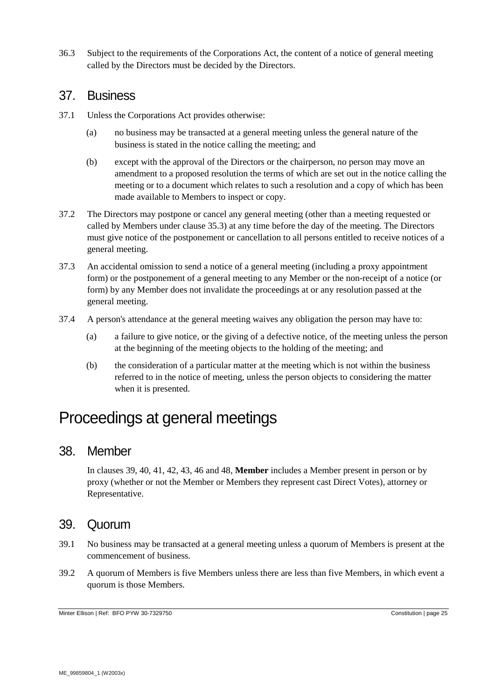36.3 Subject to the requirements of the Corporations Act, the content of a notice of general meeting called by the Directors must be decided by the Directors.

#### 37. Business

- 37.1 Unless the Corporations Act provides otherwise:
	- (a) no business may be transacted at a general meeting unless the general nature of the business is stated in the notice calling the meeting; and
	- (b) except with the approval of the Directors or the chairperson, no person may move an amendment to a proposed resolution the terms of which are set out in the notice calling the meeting or to a document which relates to such a resolution and a copy of which has been made available to Members to inspect or copy.
- 37.2 The Directors may postpone or cancel any general meeting (other than a meeting requested or called by Members under clause [35.3\)](#page-23-0) at any time before the day of the meeting. The Directors must give notice of the postponement or cancellation to all persons entitled to receive notices of a general meeting.
- 37.3 An accidental omission to send a notice of a general meeting (including a proxy appointment form) or the postponement of a general meeting to any Member or the non-receipt of a notice (or form) by any Member does not invalidate the proceedings at or any resolution passed at the general meeting.
- 37.4 A person's attendance at the general meeting waives any obligation the person may have to:
	- (a) a failure to give notice, or the giving of a defective notice, of the meeting unless the person at the beginning of the meeting objects to the holding of the meeting; and
	- (b) the consideration of a particular matter at the meeting which is not within the business referred to in the notice of meeting, unless the person objects to considering the matter when it is presented.

# Proceedings at general meetings

#### 38. Member

In clauses [39,](#page-24-0) [40,](#page-25-0) [41,](#page-25-1) [42,](#page-26-0) [43,](#page-27-0) [46](#page-28-0) and [48,](#page-29-0) **Member** includes a Member present in person or by proxy (whether or not the Member or Members they represent cast Direct Votes), attorney or Representative.

#### <span id="page-24-0"></span>39. Quorum

- 39.1 No business may be transacted at a general meeting unless a quorum of Members is present at the commencement of business.
- 39.2 A quorum of Members is five Members unless there are less than five Members, in which event a quorum is those Members.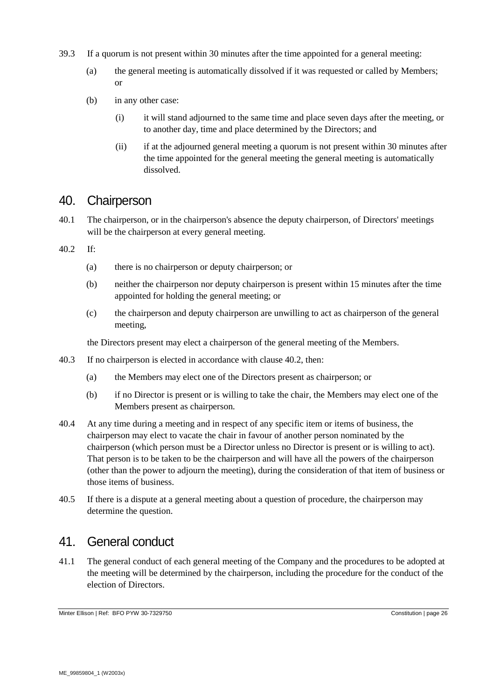- 39.3 If a quorum is not present within 30 minutes after the time appointed for a general meeting:
	- (a) the general meeting is automatically dissolved if it was requested or called by Members; or
	- (b) in any other case:
		- (i) it will stand adjourned to the same time and place seven days after the meeting, or to another day, time and place determined by the Directors; and
		- (ii) if at the adjourned general meeting a quorum is not present within 30 minutes after the time appointed for the general meeting the general meeting is automatically dissolved.

### <span id="page-25-0"></span>40. Chairperson

- 40.1 The chairperson, or in the chairperson's absence the deputy chairperson, of Directors' meetings will be the chairperson at every general meeting.
- <span id="page-25-2"></span>40.2 If:
	- (a) there is no chairperson or deputy chairperson; or
	- (b) neither the chairperson nor deputy chairperson is present within 15 minutes after the time appointed for holding the general meeting; or
	- (c) the chairperson and deputy chairperson are unwilling to act as chairperson of the general meeting,

the Directors present may elect a chairperson of the general meeting of the Members.

- 40.3 If no chairperson is elected in accordance with clause [40.2,](#page-25-2) then:
	- (a) the Members may elect one of the Directors present as chairperson; or
	- (b) if no Director is present or is willing to take the chair, the Members may elect one of the Members present as chairperson.
- 40.4 At any time during a meeting and in respect of any specific item or items of business, the chairperson may elect to vacate the chair in favour of another person nominated by the chairperson (which person must be a Director unless no Director is present or is willing to act). That person is to be taken to be the chairperson and will have all the powers of the chairperson (other than the power to adjourn the meeting), during the consideration of that item of business or those items of business.
- 40.5 If there is a dispute at a general meeting about a question of procedure, the chairperson may determine the question.

#### <span id="page-25-1"></span>41. General conduct

<span id="page-25-3"></span>41.1 The general conduct of each general meeting of the Company and the procedures to be adopted at the meeting will be determined by the chairperson, including the procedure for the conduct of the election of Directors.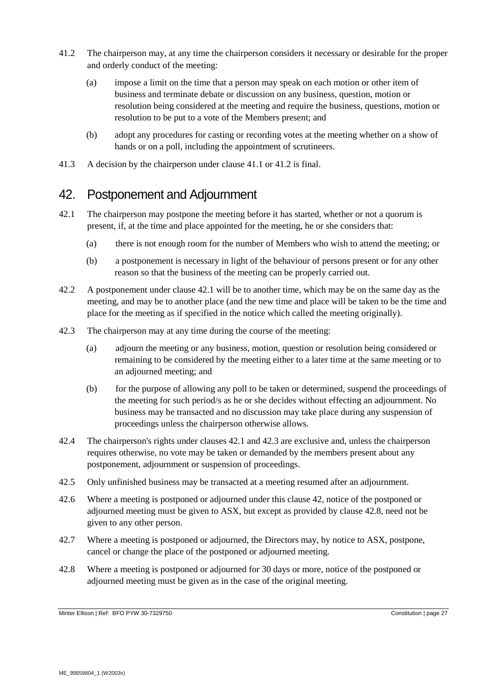- <span id="page-26-1"></span>41.2 The chairperson may, at any time the chairperson considers it necessary or desirable for the proper and orderly conduct of the meeting:
	- (a) impose a limit on the time that a person may speak on each motion or other item of business and terminate debate or discussion on any business, question, motion or resolution being considered at the meeting and require the business, questions, motion or resolution to be put to a vote of the Members present; and
	- (b) adopt any procedures for casting or recording votes at the meeting whether on a show of hands or on a poll, including the appointment of scrutineers.
- 41.3 A decision by the chairperson under clause [41.1](#page-25-3) or [41.2](#page-26-1) is final.

#### <span id="page-26-0"></span>42. Postponement and Adjournment

- <span id="page-26-2"></span>42.1 The chairperson may postpone the meeting before it has started, whether or not a quorum is present, if, at the time and place appointed for the meeting, he or she considers that:
	- (a) there is not enough room for the number of Members who wish to attend the meeting; or
	- (b) a postponement is necessary in light of the behaviour of persons present or for any other reason so that the business of the meeting can be properly carried out.
- 42.2 A postponement under clause [42.1](#page-26-2) will be to another time, which may be on the same day as the meeting, and may be to another place (and the new time and place will be taken to be the time and place for the meeting as if specified in the notice which called the meeting originally).
- <span id="page-26-3"></span>42.3 The chairperson may at any time during the course of the meeting:
	- (a) adjourn the meeting or any business, motion, question or resolution being considered or remaining to be considered by the meeting either to a later time at the same meeting or to an adjourned meeting; and
	- (b) for the purpose of allowing any poll to be taken or determined, suspend the proceedings of the meeting for such period/s as he or she decides without effecting an adjournment. No business may be transacted and no discussion may take place during any suspension of proceedings unless the chairperson otherwise allows.
- 42.4 The chairperson's rights under clauses [42.1](#page-26-2) and [42.3](#page-26-3) are exclusive and, unless the chairperson requires otherwise, no vote may be taken or demanded by the members present about any postponement, adjournment or suspension of proceedings.
- 42.5 Only unfinished business may be transacted at a meeting resumed after an adjournment.
- 42.6 Where a meeting is postponed or adjourned under this clause [42,](#page-26-0) notice of the postponed or adjourned meeting must be given to ASX, but except as provided by clause [42.8,](#page-26-4) need not be given to any other person.
- 42.7 Where a meeting is postponed or adjourned, the Directors may, by notice to ASX, postpone, cancel or change the place of the postponed or adjourned meeting.
- <span id="page-26-4"></span>42.8 Where a meeting is postponed or adjourned for 30 days or more, notice of the postponed or adjourned meeting must be given as in the case of the original meeting.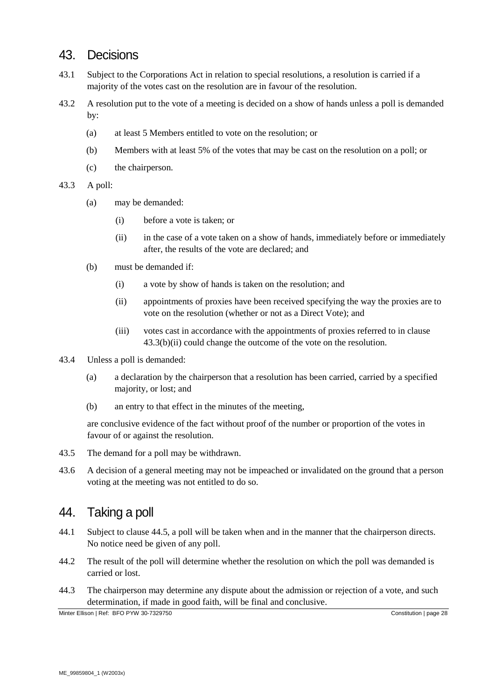#### 43. Decisions

- <span id="page-27-0"></span>43.1 Subject to the Corporations Act in relation to special resolutions, a resolution is carried if a majority of the votes cast on the resolution are in favour of the resolution.
- 43.2 A resolution put to the vote of a meeting is decided on a show of hands unless a poll is demanded by:
	- (a) at least 5 Members entitled to vote on the resolution; or
	- (b) Members with at least 5% of the votes that may be cast on the resolution on a poll; or
	- (c) the chairperson.
- <span id="page-27-1"></span>43.3 A poll:
	- (a) may be demanded:
		- (i) before a vote is taken; or
		- (ii) in the case of a vote taken on a show of hands, immediately before or immediately after, the results of the vote are declared; and
	- (b) must be demanded if:
		- (i) a vote by show of hands is taken on the resolution; and
		- (ii) appointments of proxies have been received specifying the way the proxies are to vote on the resolution (whether or not as a Direct Vote); and
		- (iii) votes cast in accordance with the appointments of proxies referred to in clause [43.3\(b\)](#page-27-1)[\(ii\)](#page-27-2) could change the outcome of the vote on the resolution.
- <span id="page-27-2"></span>43.4 Unless a poll is demanded:
	- (a) a declaration by the chairperson that a resolution has been carried, carried by a specified majority, or lost; and
	- (b) an entry to that effect in the minutes of the meeting,

are conclusive evidence of the fact without proof of the number or proportion of the votes in favour of or against the resolution.

- 43.5 The demand for a poll may be withdrawn.
- 43.6 A decision of a general meeting may not be impeached or invalidated on the ground that a person voting at the meeting was not entitled to do so.

#### 44. Taking a poll

- 44.1 Subject to clause [44.5,](#page-28-1) a poll will be taken when and in the manner that the chairperson directs. No notice need be given of any poll.
- 44.2 The result of the poll will determine whether the resolution on which the poll was demanded is carried or lost.
- 44.3 The chairperson may determine any dispute about the admission or rejection of a vote, and such determination, if made in good faith, will be final and conclusive.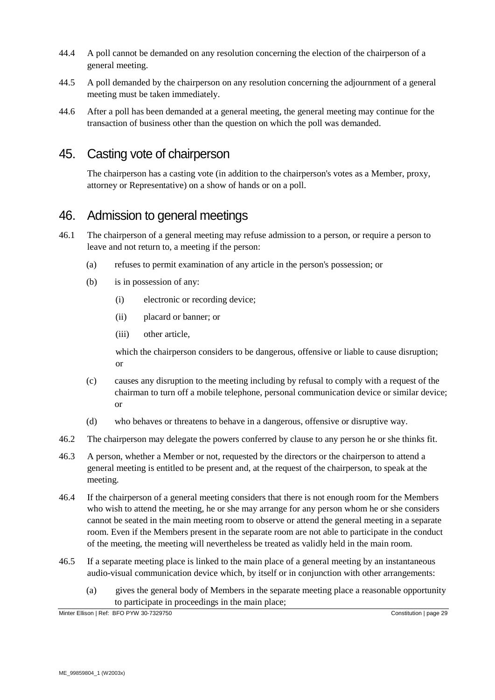- 44.4 A poll cannot be demanded on any resolution concerning the election of the chairperson of a general meeting.
- <span id="page-28-1"></span>44.5 A poll demanded by the chairperson on any resolution concerning the adjournment of a general meeting must be taken immediately.
- 44.6 After a poll has been demanded at a general meeting, the general meeting may continue for the transaction of business other than the question on which the poll was demanded.

# 45. Casting vote of chairperson

The chairperson has a casting vote (in addition to the chairperson's votes as a Member, proxy, attorney or Representative) on a show of hands or on a poll.

#### <span id="page-28-0"></span>46. Admission to general meetings

- 46.1 The chairperson of a general meeting may refuse admission to a person, or require a person to leave and not return to, a meeting if the person:
	- (a) refuses to permit examination of any article in the person's possession; or
	- (b) is in possession of any:
		- (i) electronic or recording device;
		- (ii) placard or banner; or
		- (iii) other article,

which the chairperson considers to be dangerous, offensive or liable to cause disruption; or

- (c) causes any disruption to the meeting including by refusal to comply with a request of the chairman to turn off a mobile telephone, personal communication device or similar device; or
- (d) who behaves or threatens to behave in a dangerous, offensive or disruptive way.
- 46.2 The chairperson may delegate the powers conferred by clause to any person he or she thinks fit.
- 46.3 A person, whether a Member or not, requested by the directors or the chairperson to attend a general meeting is entitled to be present and, at the request of the chairperson, to speak at the meeting.
- 46.4 If the chairperson of a general meeting considers that there is not enough room for the Members who wish to attend the meeting, he or she may arrange for any person whom he or she considers cannot be seated in the main meeting room to observe or attend the general meeting in a separate room. Even if the Members present in the separate room are not able to participate in the conduct of the meeting, the meeting will nevertheless be treated as validly held in the main room.
- <span id="page-28-2"></span>46.5 If a separate meeting place is linked to the main place of a general meeting by an instantaneous audio-visual communication device which, by itself or in conjunction with other arrangements:
	- (a) gives the general body of Members in the separate meeting place a reasonable opportunity to participate in proceedings in the main place;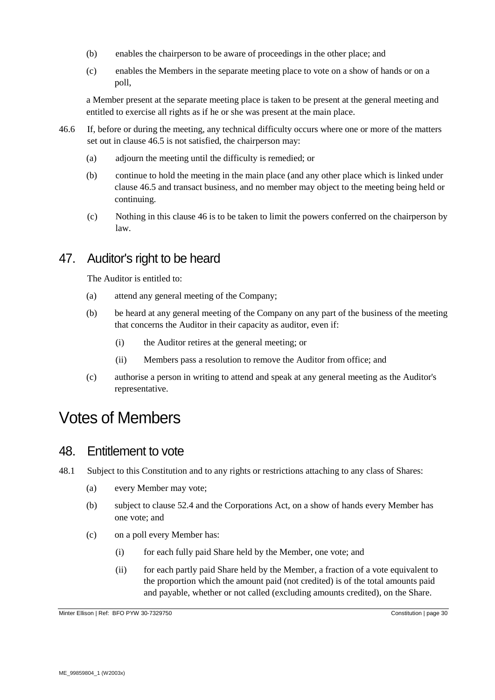- (b) enables the chairperson to be aware of proceedings in the other place; and
- (c) enables the Members in the separate meeting place to vote on a show of hands or on a poll,

a Member present at the separate meeting place is taken to be present at the general meeting and entitled to exercise all rights as if he or she was present at the main place.

- 46.6 If, before or during the meeting, any technical difficulty occurs where one or more of the matters set out in clause [46.5](#page-28-2) is not satisfied, the chairperson may:
	- (a) adjourn the meeting until the difficulty is remedied; or
	- (b) continue to hold the meeting in the main place (and any other place which is linked under clause [46.5](#page-28-2) and transact business, and no member may object to the meeting being held or continuing.
	- (c) Nothing in this clause [46](#page-28-0) is to be taken to limit the powers conferred on the chairperson by law.

# 47. Auditor's right to be heard

The Auditor is entitled to:

- (a) attend any general meeting of the Company;
- (b) be heard at any general meeting of the Company on any part of the business of the meeting that concerns the Auditor in their capacity as auditor, even if:
	- (i) the Auditor retires at the general meeting; or
	- (ii) Members pass a resolution to remove the Auditor from office; and
- (c) authorise a person in writing to attend and speak at any general meeting as the Auditor's representative.

# Votes of Members

#### <span id="page-29-0"></span>48. Entitlement to vote

- 48.1 Subject to this Constitution and to any rights or restrictions attaching to any class of Shares:
	- (a) every Member may vote;
	- (b) subject to clause [52.4](#page-31-0) and the Corporations Act, on a show of hands every Member has one vote; and
	- (c) on a poll every Member has:
		- (i) for each fully paid Share held by the Member, one vote; and
		- (ii) for each partly paid Share held by the Member, a fraction of a vote equivalent to the proportion which the amount paid (not credited) is of the total amounts paid and payable, whether or not called (excluding amounts credited), on the Share.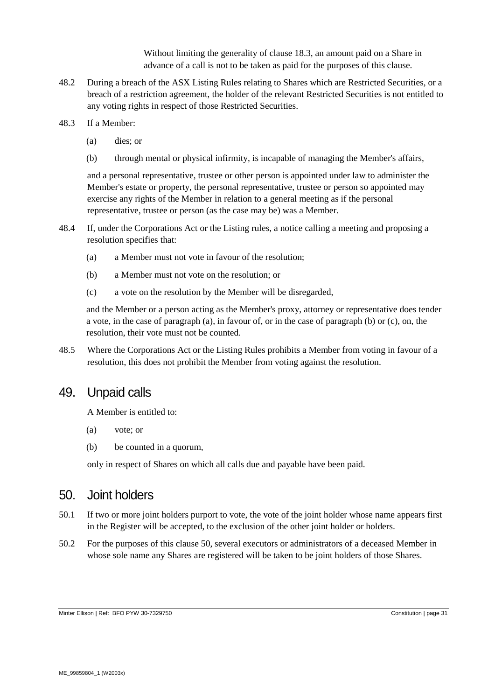Without limiting the generality of clause [18.3,](#page-15-1) an amount paid on a Share in advance of a call is not to be taken as paid for the purposes of this clause.

- 48.2 During a breach of the ASX Listing Rules relating to Shares which are Restricted Securities, or a breach of a restriction agreement, the holder of the relevant Restricted Securities is not entitled to any voting rights in respect of those Restricted Securities.
- 48.3 If a Member:
	- (a) dies; or
	- (b) through mental or physical infirmity, is incapable of managing the Member's affairs,

and a personal representative, trustee or other person is appointed under law to administer the Member's estate or property, the personal representative, trustee or person so appointed may exercise any rights of the Member in relation to a general meeting as if the personal representative, trustee or person (as the case may be) was a Member.

- 48.4 If, under the Corporations Act or the Listing rules, a notice calling a meeting and proposing a resolution specifies that:
	- (a) a Member must not vote in favour of the resolution;
	- (b) a Member must not vote on the resolution; or
	- (c) a vote on the resolution by the Member will be disregarded,

and the Member or a person acting as the Member's proxy, attorney or representative does tender a vote, in the case of paragraph (a), in favour of, or in the case of paragraph (b) or (c), on, the resolution, their vote must not be counted.

48.5 Where the Corporations Act or the Listing Rules prohibits a Member from voting in favour of a resolution, this does not prohibit the Member from voting against the resolution.

#### 49. Unpaid calls

A Member is entitled to:

- (a) vote; or
- (b) be counted in a quorum,

only in respect of Shares on which all calls due and payable have been paid.

#### <span id="page-30-0"></span>50. Joint holders

- 50.1 If two or more joint holders purport to vote, the vote of the joint holder whose name appears first in the Register will be accepted, to the exclusion of the other joint holder or holders.
- 50.2 For the purposes of this clause [50,](#page-30-0) several executors or administrators of a deceased Member in whose sole name any Shares are registered will be taken to be joint holders of those Shares.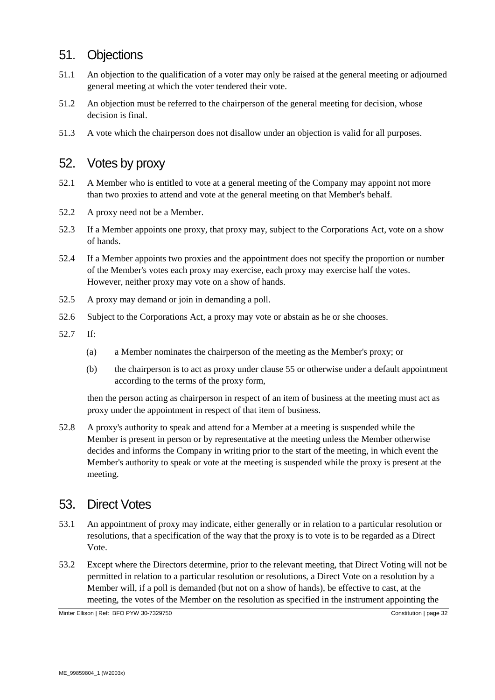# 51. Objections

- 51.1 An objection to the qualification of a voter may only be raised at the general meeting or adjourned general meeting at which the voter tendered their vote.
- 51.2 An objection must be referred to the chairperson of the general meeting for decision, whose decision is final.
- 51.3 A vote which the chairperson does not disallow under an objection is valid for all purposes.

### 52. Votes by proxy

- 52.1 A Member who is entitled to vote at a general meeting of the Company may appoint not more than two proxies to attend and vote at the general meeting on that Member's behalf.
- 52.2 A proxy need not be a Member.
- 52.3 If a Member appoints one proxy, that proxy may, subject to the Corporations Act, vote on a show of hands.
- <span id="page-31-0"></span>52.4 If a Member appoints two proxies and the appointment does not specify the proportion or number of the Member's votes each proxy may exercise, each proxy may exercise half the votes. However, neither proxy may vote on a show of hands.
- 52.5 A proxy may demand or join in demanding a poll.
- 52.6 Subject to the Corporations Act, a proxy may vote or abstain as he or she chooses.
- 52.7 If:
	- (a) a Member nominates the chairperson of the meeting as the Member's proxy; or
	- (b) the chairperson is to act as proxy under clause [55](#page-33-1) or otherwise under a default appointment according to the terms of the proxy form,

then the person acting as chairperson in respect of an item of business at the meeting must act as proxy under the appointment in respect of that item of business.

52.8 A proxy's authority to speak and attend for a Member at a meeting is suspended while the Member is present in person or by representative at the meeting unless the Member otherwise decides and informs the Company in writing prior to the start of the meeting, in which event the Member's authority to speak or vote at the meeting is suspended while the proxy is present at the meeting.

# 53. Direct Votes

- <span id="page-31-2"></span>53.1 An appointment of proxy may indicate, either generally or in relation to a particular resolution or resolutions, that a specification of the way that the proxy is to vote is to be regarded as a Direct Vote.
- <span id="page-31-1"></span>53.2 Except where the Directors determine, prior to the relevant meeting, that Direct Voting will not be permitted in relation to a particular resolution or resolutions, a Direct Vote on a resolution by a Member will, if a poll is demanded (but not on a show of hands), be effective to cast, at the meeting, the votes of the Member on the resolution as specified in the instrument appointing the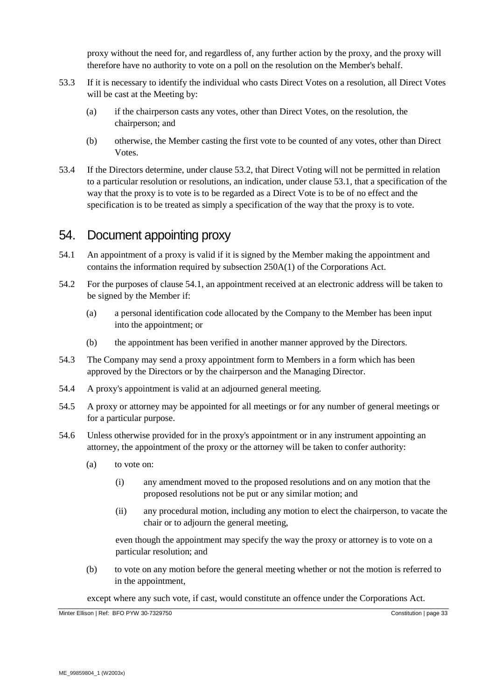proxy without the need for, and regardless of, any further action by the proxy, and the proxy will therefore have no authority to vote on a poll on the resolution on the Member's behalf.

- 53.3 If it is necessary to identify the individual who casts Direct Votes on a resolution, all Direct Votes will be cast at the Meeting by:
	- (a) if the chairperson casts any votes, other than Direct Votes, on the resolution, the chairperson; and
	- (b) otherwise, the Member casting the first vote to be counted of any votes, other than Direct Votes.
- 53.4 If the Directors determine, under clause [53.2,](#page-31-1) that Direct Voting will not be permitted in relation to a particular resolution or resolutions, an indication, under clause [53.1,](#page-31-2) that a specification of the way that the proxy is to vote is to be regarded as a Direct Vote is to be of no effect and the specification is to be treated as simply a specification of the way that the proxy is to vote.

#### 54. Document appointing proxy

- <span id="page-32-0"></span>54.1 An appointment of a proxy is valid if it is signed by the Member making the appointment and contains the information required by subsection 250A(1) of the Corporations Act.
- 54.2 For the purposes of clause [54.1,](#page-32-0) an appointment received at an electronic address will be taken to be signed by the Member if:
	- (a) a personal identification code allocated by the Company to the Member has been input into the appointment; or
	- (b) the appointment has been verified in another manner approved by the Directors.
- 54.3 The Company may send a proxy appointment form to Members in a form which has been approved by the Directors or by the chairperson and the Managing Director.
- 54.4 A proxy's appointment is valid at an adjourned general meeting.
- 54.5 A proxy or attorney may be appointed for all meetings or for any number of general meetings or for a particular purpose.
- 54.6 Unless otherwise provided for in the proxy's appointment or in any instrument appointing an attorney, the appointment of the proxy or the attorney will be taken to confer authority:
	- (a) to vote on:
		- (i) any amendment moved to the proposed resolutions and on any motion that the proposed resolutions not be put or any similar motion; and
		- (ii) any procedural motion, including any motion to elect the chairperson, to vacate the chair or to adjourn the general meeting,

even though the appointment may specify the way the proxy or attorney is to vote on a particular resolution; and

(b) to vote on any motion before the general meeting whether or not the motion is referred to in the appointment,

except where any such vote, if cast, would constitute an offence under the Corporations Act.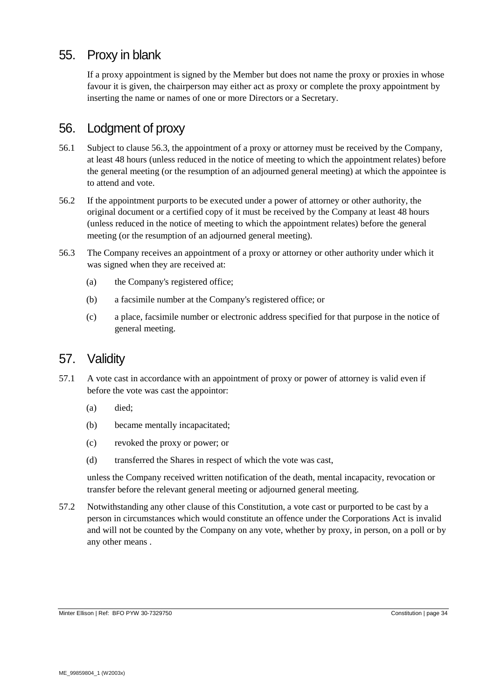# <span id="page-33-1"></span>55. Proxy in blank

If a proxy appointment is signed by the Member but does not name the proxy or proxies in whose favour it is given, the chairperson may either act as proxy or complete the proxy appointment by inserting the name or names of one or more Directors or a Secretary.

# 56. Lodgment of proxy

- <span id="page-33-0"></span>56.1 Subject to clause [56.3,](#page-33-2) the appointment of a proxy or attorney must be received by the Company, at least 48 hours (unless reduced in the notice of meeting to which the appointment relates) before the general meeting (or the resumption of an adjourned general meeting) at which the appointee is to attend and vote.
- 56.2 If the appointment purports to be executed under a power of attorney or other authority, the original document or a certified copy of it must be received by the Company at least 48 hours (unless reduced in the notice of meeting to which the appointment relates) before the general meeting (or the resumption of an adjourned general meeting).
- <span id="page-33-2"></span>56.3 The Company receives an appointment of a proxy or attorney or other authority under which it was signed when they are received at:
	- (a) the Company's registered office;
	- (b) a facsimile number at the Company's registered office; or
	- (c) a place, facsimile number or electronic address specified for that purpose in the notice of general meeting.

# 57. Validity

- 57.1 A vote cast in accordance with an appointment of proxy or power of attorney is valid even if before the vote was cast the appointor:
	- (a) died;
	- (b) became mentally incapacitated;
	- (c) revoked the proxy or power; or
	- (d) transferred the Shares in respect of which the vote was cast,

unless the Company received written notification of the death, mental incapacity, revocation or transfer before the relevant general meeting or adjourned general meeting.

57.2 Notwithstanding any other clause of this Constitution, a vote cast or purported to be cast by a person in circumstances which would constitute an offence under the Corporations Act is invalid and will not be counted by the Company on any vote, whether by proxy, in person, on a poll or by any other means .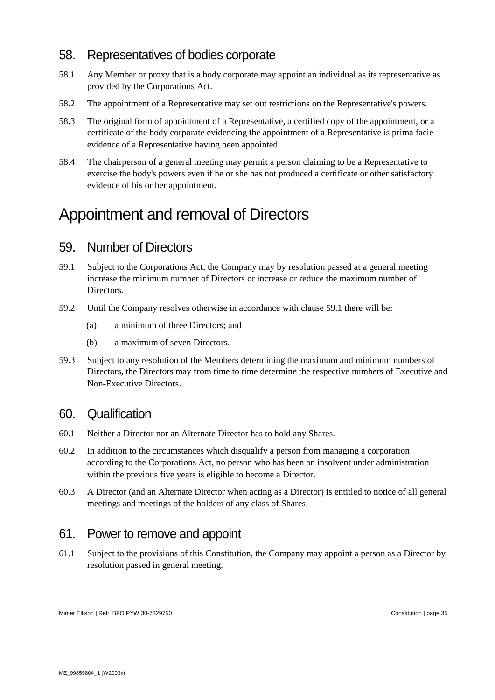### 58. Representatives of bodies corporate

- <span id="page-34-0"></span>58.1 Any Member or proxy that is a body corporate may appoint an individual as its representative as provided by the Corporations Act.
- 58.2 The appointment of a Representative may set out restrictions on the Representative's powers.
- 58.3 The original form of appointment of a Representative, a certified copy of the appointment, or a certificate of the body corporate evidencing the appointment of a Representative is prima facie evidence of a Representative having been appointed.
- 58.4 The chairperson of a general meeting may permit a person claiming to be a Representative to exercise the body's powers even if he or she has not produced a certificate or other satisfactory evidence of his or her appointment.

# Appointment and removal of Directors

### <span id="page-34-2"></span>59. Number of Directors

- <span id="page-34-1"></span>59.1 Subject to the Corporations Act, the Company may by resolution passed at a general meeting increase the minimum number of Directors or increase or reduce the maximum number of Directors.
- 59.2 Until the Company resolves otherwise in accordance with clause [59.1](#page-34-1) there will be:
	- (a) a minimum of three Directors; and
	- (b) a maximum of seven Directors.
- 59.3 Subject to any resolution of the Members determining the maximum and minimum numbers of Directors, the Directors may from time to time determine the respective numbers of Executive and Non-Executive Directors.

#### 60. Qualification

- 60.1 Neither a Director nor an Alternate Director has to hold any Shares.
- 60.2 In addition to the circumstances which disqualify a person from managing a corporation according to the Corporations Act, no person who has been an insolvent under administration within the previous five years is eligible to become a Director.
- 60.3 A Director (and an Alternate Director when acting as a Director) is entitled to notice of all general meetings and meetings of the holders of any class of Shares.

#### 61. Power to remove and appoint

61.1 Subject to the provisions of this Constitution, the Company may appoint a person as a Director by resolution passed in general meeting.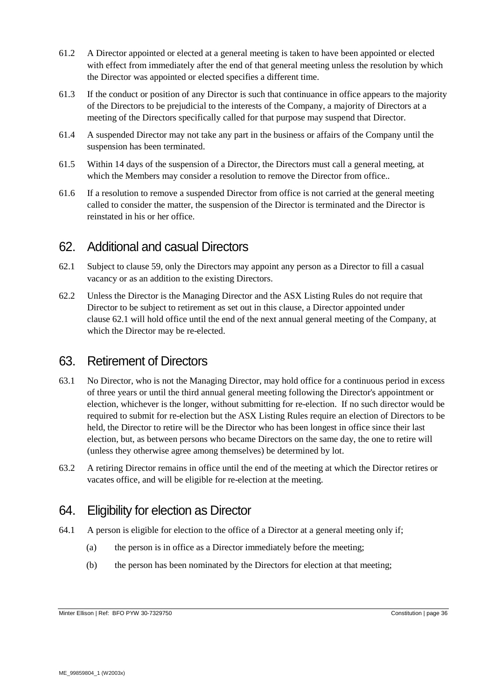- 61.2 A Director appointed or elected at a general meeting is taken to have been appointed or elected with effect from immediately after the end of that general meeting unless the resolution by which the Director was appointed or elected specifies a different time.
- 61.3 If the conduct or position of any Director is such that continuance in office appears to the majority of the Directors to be prejudicial to the interests of the Company, a majority of Directors at a meeting of the Directors specifically called for that purpose may suspend that Director.
- 61.4 A suspended Director may not take any part in the business or affairs of the Company until the suspension has been terminated.
- 61.5 Within 14 days of the suspension of a Director, the Directors must call a general meeting, at which the Members may consider a resolution to remove the Director from office..
- 61.6 If a resolution to remove a suspended Director from office is not carried at the general meeting called to consider the matter, the suspension of the Director is terminated and the Director is reinstated in his or her office.

#### 62. Additional and casual Directors

- <span id="page-35-0"></span>62.1 Subject to clause [59,](#page-34-2) only the Directors may appoint any person as a Director to fill a casual vacancy or as an addition to the existing Directors.
- 62.2 Unless the Director is the Managing Director and the ASX Listing Rules do not require that Director to be subject to retirement as set out in this clause, a Director appointed under clause [62.1](#page-35-0) will hold office until the end of the next annual general meeting of the Company, at which the Director may be re-elected.

# <span id="page-35-2"></span>63. Retirement of Directors

- 63.1 No Director, who is not the Managing Director, may hold office for a continuous period in excess of three years or until the third annual general meeting following the Director's appointment or election, whichever is the longer, without submitting for re-election. If no such director would be required to submit for re-election but the ASX Listing Rules require an election of Directors to be held, the Director to retire will be the Director who has been longest in office since their last election, but, as between persons who became Directors on the same day, the one to retire will (unless they otherwise agree among themselves) be determined by lot.
- 63.2 A retiring Director remains in office until the end of the meeting at which the Director retires or vacates office, and will be eligible for re-election at the meeting.

# 64. Eligibility for election as Director

- <span id="page-35-1"></span>64.1 A person is eligible for election to the office of a Director at a general meeting only if;
	- (a) the person is in office as a Director immediately before the meeting;
	- (b) the person has been nominated by the Directors for election at that meeting;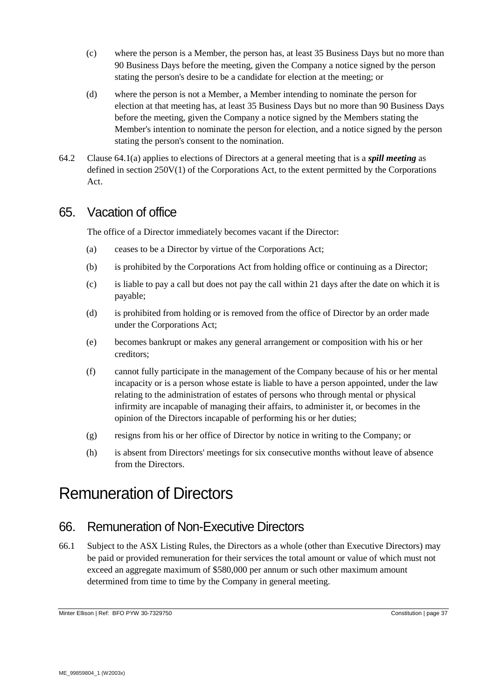- (c) where the person is a Member, the person has, at least 35 Business Days but no more than 90 Business Days before the meeting, given the Company a notice signed by the person stating the person's desire to be a candidate for election at the meeting; or
- (d) where the person is not a Member, a Member intending to nominate the person for election at that meeting has, at least 35 Business Days but no more than 90 Business Days before the meeting, given the Company a notice signed by the Members stating the Member's intention to nominate the person for election, and a notice signed by the person stating the person's consent to the nomination.
- 64.2 Clause [64.1\(a\)](#page-35-1) applies to elections of Directors at a general meeting that is a *spill meeting* as defined in section 250V(1) of the Corporations Act, to the extent permitted by the Corporations Act.

#### 65. Vacation of office

The office of a Director immediately becomes vacant if the Director:

- (a) ceases to be a Director by virtue of the Corporations Act;
- (b) is prohibited by the Corporations Act from holding office or continuing as a Director;
- (c) is liable to pay a call but does not pay the call within 21 days after the date on which it is payable;
- (d) is prohibited from holding or is removed from the office of Director by an order made under the Corporations Act;
- (e) becomes bankrupt or makes any general arrangement or composition with his or her creditors;
- (f) cannot fully participate in the management of the Company because of his or her mental incapacity or is a person whose estate is liable to have a person appointed, under the law relating to the administration of estates of persons who through mental or physical infirmity are incapable of managing their affairs, to administer it, or becomes in the opinion of the Directors incapable of performing his or her duties;
- (g) resigns from his or her office of Director by notice in writing to the Company; or
- (h) is absent from Directors' meetings for six consecutive months without leave of absence from the Directors.

# Remuneration of Directors

#### 66. Remuneration of Non-Executive Directors

<span id="page-36-0"></span>66.1 Subject to the ASX Listing Rules, the Directors as a whole (other than Executive Directors) may be paid or provided remuneration for their services the total amount or value of which must not exceed an aggregate maximum of \$580,000 per annum or such other maximum amount determined from time to time by the Company in general meeting.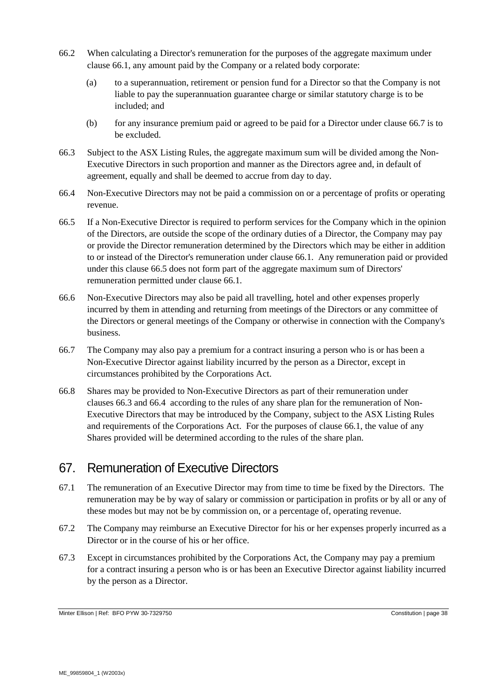- 66.2 When calculating a Director's remuneration for the purposes of the aggregate maximum under clause [66.1,](#page-36-0) any amount paid by the Company or a related body corporate:
	- (a) to a superannuation, retirement or pension fund for a Director so that the Company is not liable to pay the superannuation guarantee charge or similar statutory charge is to be included; and
	- (b) for any insurance premium paid or agreed to be paid for a Director under clause [66.7](#page-37-0) is to be excluded.
- <span id="page-37-2"></span>66.3 Subject to the ASX Listing Rules, the aggregate maximum sum will be divided among the Non-Executive Directors in such proportion and manner as the Directors agree and, in default of agreement, equally and shall be deemed to accrue from day to day.
- <span id="page-37-3"></span>66.4 Non-Executive Directors may not be paid a commission on or a percentage of profits or operating revenue.
- <span id="page-37-1"></span>66.5 If a Non-Executive Director is required to perform services for the Company which in the opinion of the Directors, are outside the scope of the ordinary duties of a Director, the Company may pay or provide the Director remuneration determined by the Directors which may be either in addition to or instead of the Director's remuneration under clause [66.1.](#page-36-0) Any remuneration paid or provided under this clause [66.5](#page-37-1) does not form part of the aggregate maximum sum of Directors' remuneration permitted under clause [66.1.](#page-36-0)
- 66.6 Non-Executive Directors may also be paid all travelling, hotel and other expenses properly incurred by them in attending and returning from meetings of the Directors or any committee of the Directors or general meetings of the Company or otherwise in connection with the Company's business.
- <span id="page-37-0"></span>66.7 The Company may also pay a premium for a contract insuring a person who is or has been a Non-Executive Director against liability incurred by the person as a Director, except in circumstances prohibited by the Corporations Act.
- 66.8 Shares may be provided to Non-Executive Directors as part of their remuneration under clauses [66.3](#page-37-2) and [66.4](#page-37-3) according to the rules of any share plan for the remuneration of Non-Executive Directors that may be introduced by the Company, subject to the ASX Listing Rules and requirements of the Corporations Act. For the purposes of clause [66.1,](#page-36-0) the value of any Shares provided will be determined according to the rules of the share plan.

# 67. Remuneration of Executive Directors

- 67.1 The remuneration of an Executive Director may from time to time be fixed by the Directors. The remuneration may be by way of salary or commission or participation in profits or by all or any of these modes but may not be by commission on, or a percentage of, operating revenue.
- 67.2 The Company may reimburse an Executive Director for his or her expenses properly incurred as a Director or in the course of his or her office.
- 67.3 Except in circumstances prohibited by the Corporations Act, the Company may pay a premium for a contract insuring a person who is or has been an Executive Director against liability incurred by the person as a Director.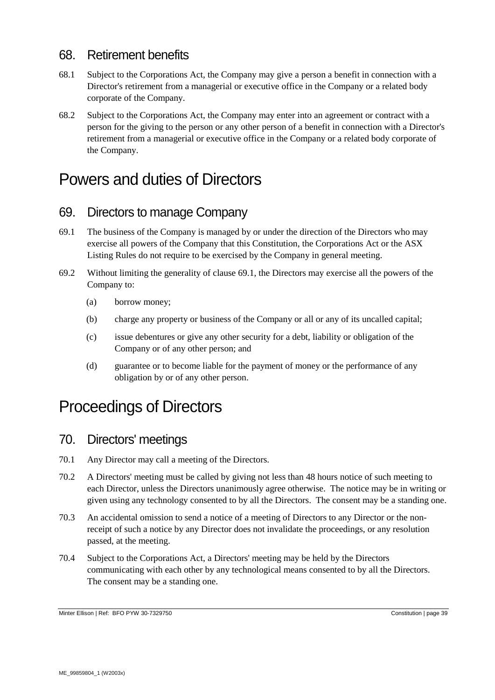### 68. Retirement benefits

- 68.1 Subject to the Corporations Act*,* the Company may give a person a benefit in connection with a Director's retirement from a managerial or executive office in the Company or a related body corporate of the Company.
- 68.2 Subject to the Corporations Act, the Company may enter into an agreement or contract with a person for the giving to the person or any other person of a benefit in connection with a Director's retirement from a managerial or executive office in the Company or a related body corporate of the Company.

# Powers and duties of Directors

### 69. Directors to manage Company

- <span id="page-38-0"></span>69.1 The business of the Company is managed by or under the direction of the Directors who may exercise all powers of the Company that this Constitution, the Corporations Act or the ASX Listing Rules do not require to be exercised by the Company in general meeting.
- 69.2 Without limiting the generality of clause [69.1,](#page-38-0) the Directors may exercise all the powers of the Company to:
	- (a) borrow money;
	- (b) charge any property or business of the Company or all or any of its uncalled capital;
	- (c) issue debentures or give any other security for a debt, liability or obligation of the Company or of any other person; and
	- (d) guarantee or to become liable for the payment of money or the performance of any obligation by or of any other person.

# Proceedings of Directors

#### 70. Directors' meetings

- 70.1 Any Director may call a meeting of the Directors.
- 70.2 A Directors' meeting must be called by giving not less than 48 hours notice of such meeting to each Director, unless the Directors unanimously agree otherwise. The notice may be in writing or given using any technology consented to by all the Directors. The consent may be a standing one.
- 70.3 An accidental omission to send a notice of a meeting of Directors to any Director or the nonreceipt of such a notice by any Director does not invalidate the proceedings, or any resolution passed, at the meeting.
- <span id="page-38-1"></span>70.4 Subject to the Corporations Act, a Directors' meeting may be held by the Directors communicating with each other by any technological means consented to by all the Directors. The consent may be a standing one.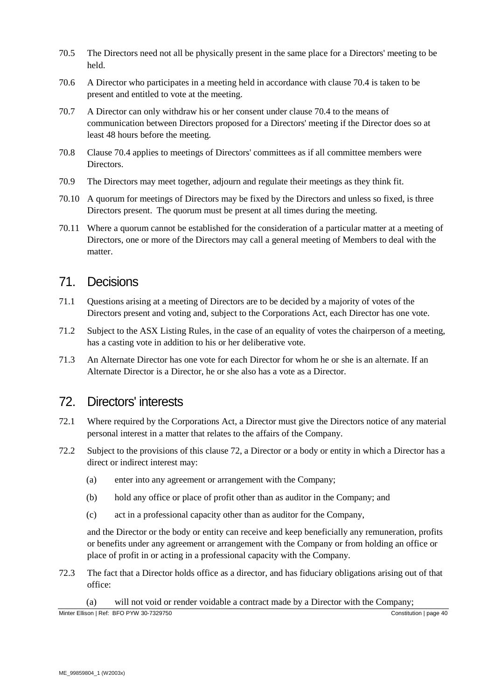- 70.5 The Directors need not all be physically present in the same place for a Directors' meeting to be held.
- 70.6 A Director who participates in a meeting held in accordance with clause [70.4](#page-38-1) is taken to be present and entitled to vote at the meeting.
- 70.7 A Director can only withdraw his or her consent under clause [70.4](#page-38-1) to the means of communication between Directors proposed for a Directors' meeting if the Director does so at least 48 hours before the meeting.
- 70.8 Clause [70.4](#page-38-1) applies to meetings of Directors' committees as if all committee members were Directors.
- 70.9 The Directors may meet together, adjourn and regulate their meetings as they think fit.
- 70.10 A quorum for meetings of Directors may be fixed by the Directors and unless so fixed, is three Directors present. The quorum must be present at all times during the meeting.
- 70.11 Where a quorum cannot be established for the consideration of a particular matter at a meeting of Directors, one or more of the Directors may call a general meeting of Members to deal with the matter.

### 71. Decisions

- 71.1 Questions arising at a meeting of Directors are to be decided by a majority of votes of the Directors present and voting and, subject to the Corporations Act, each Director has one vote.
- 71.2 Subject to the ASX Listing Rules, in the case of an equality of votes the chairperson of a meeting, has a casting vote in addition to his or her deliberative vote.
- 71.3 An Alternate Director has one vote for each Director for whom he or she is an alternate. If an Alternate Director is a Director, he or she also has a vote as a Director.

#### <span id="page-39-0"></span>72. Directors' interests

- 72.1 Where required by the Corporations Act, a Director must give the Directors notice of any material personal interest in a matter that relates to the affairs of the Company.
- 72.2 Subject to the provisions of this clause [72,](#page-39-0) a Director or a body or entity in which a Director has a direct or indirect interest may:
	- (a) enter into any agreement or arrangement with the Company;
	- (b) hold any office or place of profit other than as auditor in the Company; and
	- (c) act in a professional capacity other than as auditor for the Company,

and the Director or the body or entity can receive and keep beneficially any remuneration, profits or benefits under any agreement or arrangement with the Company or from holding an office or place of profit in or acting in a professional capacity with the Company.

72.3 The fact that a Director holds office as a director, and has fiduciary obligations arising out of that office:

(a) will not void or render voidable a contract made by a Director with the Company;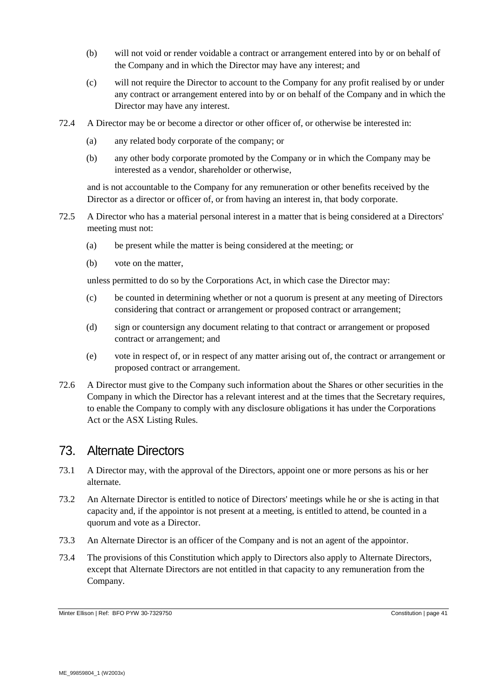- (b) will not void or render voidable a contract or arrangement entered into by or on behalf of the Company and in which the Director may have any interest; and
- (c) will not require the Director to account to the Company for any profit realised by or under any contract or arrangement entered into by or on behalf of the Company and in which the Director may have any interest.
- 72.4 A Director may be or become a director or other officer of, or otherwise be interested in:
	- (a) any related body corporate of the company; or
	- (b) any other body corporate promoted by the Company or in which the Company may be interested as a vendor, shareholder or otherwise,

and is not accountable to the Company for any remuneration or other benefits received by the Director as a director or officer of, or from having an interest in, that body corporate.

- 72.5 A Director who has a material personal interest in a matter that is being considered at a Directors' meeting must not:
	- (a) be present while the matter is being considered at the meeting; or
	- (b) vote on the matter,

unless permitted to do so by the Corporations Act, in which case the Director may:

- (c) be counted in determining whether or not a quorum is present at any meeting of Directors considering that contract or arrangement or proposed contract or arrangement;
- (d) sign or countersign any document relating to that contract or arrangement or proposed contract or arrangement; and
- (e) vote in respect of, or in respect of any matter arising out of, the contract or arrangement or proposed contract or arrangement.
- 72.6 A Director must give to the Company such information about the Shares or other securities in the Company in which the Director has a relevant interest and at the times that the Secretary requires, to enable the Company to comply with any disclosure obligations it has under the Corporations Act or the ASX Listing Rules.

#### <span id="page-40-0"></span>73. Alternate Directors

- 73.1 A Director may, with the approval of the Directors, appoint one or more persons as his or her alternate.
- 73.2 An Alternate Director is entitled to notice of Directors' meetings while he or she is acting in that capacity and, if the appointor is not present at a meeting, is entitled to attend, be counted in a quorum and vote as a Director.
- 73.3 An Alternate Director is an officer of the Company and is not an agent of the appointor.
- 73.4 The provisions of this Constitution which apply to Directors also apply to Alternate Directors, except that Alternate Directors are not entitled in that capacity to any remuneration from the Company.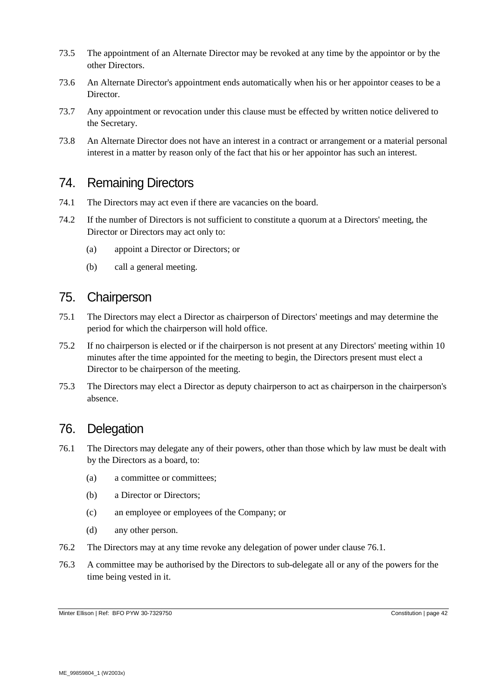- 73.5 The appointment of an Alternate Director may be revoked at any time by the appointor or by the other Directors.
- 73.6 An Alternate Director's appointment ends automatically when his or her appointor ceases to be a Director.
- 73.7 Any appointment or revocation under this clause must be effected by written notice delivered to the Secretary.
- 73.8 An Alternate Director does not have an interest in a contract or arrangement or a material personal interest in a matter by reason only of the fact that his or her appointor has such an interest.

### 74. Remaining Directors

- 74.1 The Directors may act even if there are vacancies on the board.
- 74.2 If the number of Directors is not sufficient to constitute a quorum at a Directors' meeting, the Director or Directors may act only to:
	- (a) appoint a Director or Directors; or
	- (b) call a general meeting.

#### 75. Chairperson

- 75.1 The Directors may elect a Director as chairperson of Directors' meetings and may determine the period for which the chairperson will hold office.
- 75.2 If no chairperson is elected or if the chairperson is not present at any Directors' meeting within 10 minutes after the time appointed for the meeting to begin, the Directors present must elect a Director to be chairperson of the meeting.
- 75.3 The Directors may elect a Director as deputy chairperson to act as chairperson in the chairperson's absence.

### 76. Delegation

- <span id="page-41-0"></span>76.1 The Directors may delegate any of their powers, other than those which by law must be dealt with by the Directors as a board, to:
	- (a) a committee or committees;
	- (b) a Director or Directors;
	- (c) an employee or employees of the Company; or
	- (d) any other person.
- 76.2 The Directors may at any time revoke any delegation of power under clause [76.1.](#page-41-0)
- 76.3 A committee may be authorised by the Directors to sub-delegate all or any of the powers for the time being vested in it.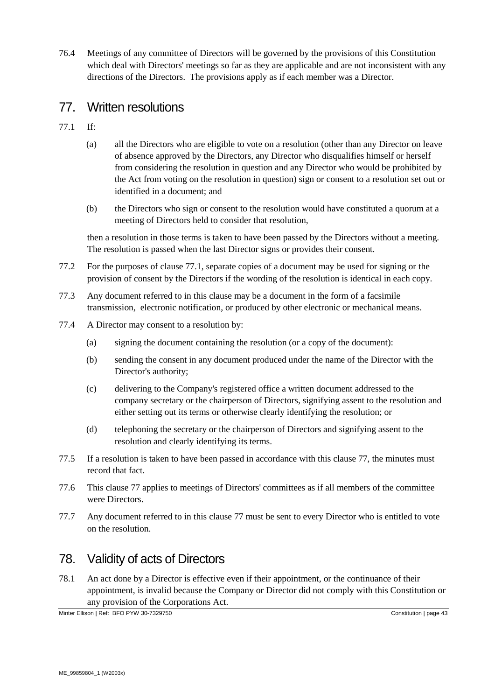76.4 Meetings of any committee of Directors will be governed by the provisions of this Constitution which deal with Directors' meetings so far as they are applicable and are not inconsistent with any directions of the Directors. The provisions apply as if each member was a Director.

#### <span id="page-42-1"></span>77. Written resolutions

- <span id="page-42-0"></span>77.1 If:
	- (a) all the Directors who are eligible to vote on a resolution (other than any Director on leave of absence approved by the Directors, any Director who disqualifies himself or herself from considering the resolution in question and any Director who would be prohibited by the Act from voting on the resolution in question) sign or consent to a resolution set out or identified in a document; and
	- (b) the Directors who sign or consent to the resolution would have constituted a quorum at a meeting of Directors held to consider that resolution,

then a resolution in those terms is taken to have been passed by the Directors without a meeting. The resolution is passed when the last Director signs or provides their consent.

- 77.2 For the purposes of clause [77.1,](#page-42-0) separate copies of a document may be used for signing or the provision of consent by the Directors if the wording of the resolution is identical in each copy.
- 77.3 Any document referred to in this clause may be a document in the form of a facsimile transmission, electronic notification, or produced by other electronic or mechanical means.
- 77.4 A Director may consent to a resolution by:
	- (a) signing the document containing the resolution (or a copy of the document):
	- (b) sending the consent in any document produced under the name of the Director with the Director's authority;
	- (c) delivering to the Company's registered office a written document addressed to the company secretary or the chairperson of Directors, signifying assent to the resolution and either setting out its terms or otherwise clearly identifying the resolution; or
	- (d) telephoning the secretary or the chairperson of Directors and signifying assent to the resolution and clearly identifying its terms.
- 77.5 If a resolution is taken to have been passed in accordance with this clause [77,](#page-42-1) the minutes must record that fact.
- 77.6 This clause [77](#page-42-1) applies to meetings of Directors' committees as if all members of the committee were Directors.
- 77.7 Any document referred to in this clause [77](#page-42-1) must be sent to every Director who is entitled to vote on the resolution.

# 78. Validity of acts of Directors

<span id="page-42-2"></span>78.1 An act done by a Director is effective even if their appointment, or the continuance of their appointment, is invalid because the Company or Director did not comply with this Constitution or any provision of the Corporations Act.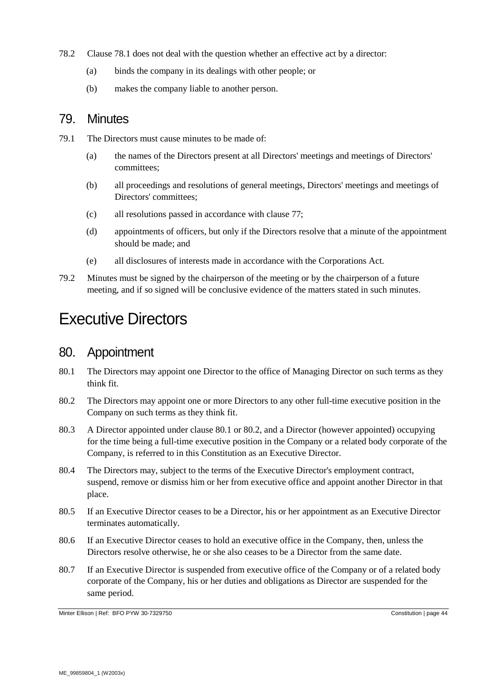- 78.2 Clause [78.1](#page-42-2) does not deal with the question whether an effective act by a director:
	- (a) binds the company in its dealings with other people; or
	- (b) makes the company liable to another person.

#### 79. Minutes

- 79.1 The Directors must cause minutes to be made of:
	- (a) the names of the Directors present at all Directors' meetings and meetings of Directors' committees;
	- (b) all proceedings and resolutions of general meetings, Directors' meetings and meetings of Directors' committees;
	- (c) all resolutions passed in accordance with clause [77;](#page-42-1)
	- (d) appointments of officers, but only if the Directors resolve that a minute of the appointment should be made; and
	- (e) all disclosures of interests made in accordance with the Corporations Act.
- 79.2 Minutes must be signed by the chairperson of the meeting or by the chairperson of a future meeting, and if so signed will be conclusive evidence of the matters stated in such minutes.

# Executive Directors

#### 80. Appointment

- <span id="page-43-1"></span>80.1 The Directors may appoint one Director to the office of Managing Director on such terms as they think fit.
- <span id="page-43-2"></span>80.2 The Directors may appoint one or more Directors to any other full-time executive position in the Company on such terms as they think fit.
- <span id="page-43-0"></span>80.3 A Director appointed under clause [80.1](#page-43-1) or [80.2,](#page-43-2) and a Director (however appointed) occupying for the time being a full-time executive position in the Company or a related body corporate of the Company, is referred to in this Constitution as an Executive Director.
- 80.4 The Directors may, subject to the terms of the Executive Director's employment contract, suspend, remove or dismiss him or her from executive office and appoint another Director in that place.
- 80.5 If an Executive Director ceases to be a Director, his or her appointment as an Executive Director terminates automatically.
- 80.6 If an Executive Director ceases to hold an executive office in the Company, then, unless the Directors resolve otherwise, he or she also ceases to be a Director from the same date.
- 80.7 If an Executive Director is suspended from executive office of the Company or of a related body corporate of the Company, his or her duties and obligations as Director are suspended for the same period.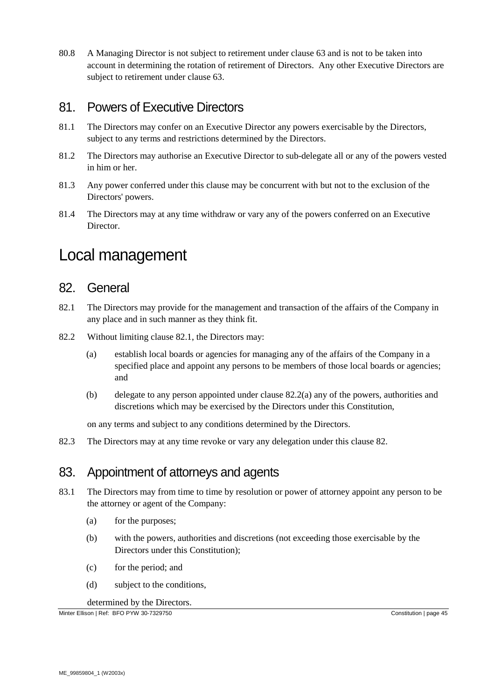80.8 A Managing Director is not subject to retirement under clause [63](#page-35-2) and is not to be taken into account in determining the rotation of retirement of Directors. Any other Executive Directors are subject to retirement under clause [63.](#page-35-2)

### 81. Powers of Executive Directors

- 81.1 The Directors may confer on an Executive Director any powers exercisable by the Directors, subject to any terms and restrictions determined by the Directors.
- 81.2 The Directors may authorise an Executive Director to sub-delegate all or any of the powers vested in him or her.
- 81.3 Any power conferred under this clause may be concurrent with but not to the exclusion of the Directors' powers.
- 81.4 The Directors may at any time withdraw or vary any of the powers conferred on an Executive Director.

# Local management

#### <span id="page-44-2"></span>82. General

- <span id="page-44-0"></span>82.1 The Directors may provide for the management and transaction of the affairs of the Company in any place and in such manner as they think fit.
- <span id="page-44-1"></span>82.2 Without limiting clause [82.1,](#page-44-0) the Directors may:
	- (a) establish local boards or agencies for managing any of the affairs of the Company in a specified place and appoint any persons to be members of those local boards or agencies; and
	- (b) delegate to any person appointed under clause [82.2\(a\)](#page-44-1) any of the powers, authorities and discretions which may be exercised by the Directors under this Constitution,

on any terms and subject to any conditions determined by the Directors.

82.3 The Directors may at any time revoke or vary any delegation under this clause [82.](#page-44-2)

#### <span id="page-44-3"></span>83. Appointment of attorneys and agents

- 83.1 The Directors may from time to time by resolution or power of attorney appoint any person to be the attorney or agent of the Company:
	- (a) for the purposes;
	- (b) with the powers, authorities and discretions (not exceeding those exercisable by the Directors under this Constitution);
	- (c) for the period; and
	- (d) subject to the conditions,

determined by the Directors.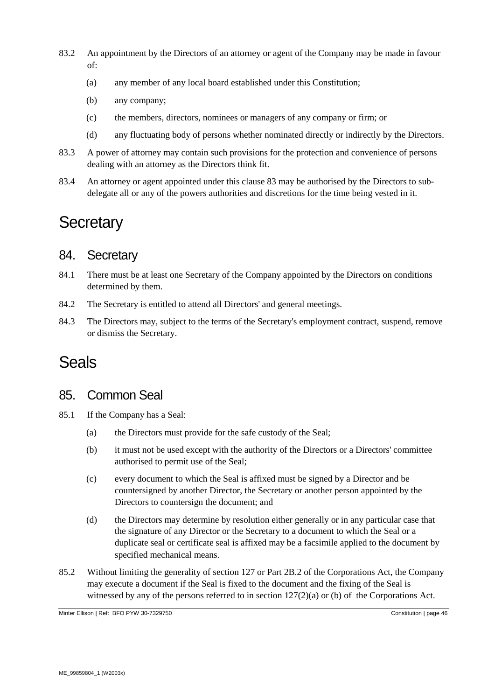- 83.2 An appointment by the Directors of an attorney or agent of the Company may be made in favour of:
	- (a) any member of any local board established under this Constitution;
	- (b) any company;
	- (c) the members, directors, nominees or managers of any company or firm; or
	- (d) any fluctuating body of persons whether nominated directly or indirectly by the Directors.
- 83.3 A power of attorney may contain such provisions for the protection and convenience of persons dealing with an attorney as the Directors think fit.
- 83.4 An attorney or agent appointed under this clause [83](#page-44-3) may be authorised by the Directors to subdelegate all or any of the powers authorities and discretions for the time being vested in it.

# **Secretary**

#### 84. Secretary

- 84.1 There must be at least one Secretary of the Company appointed by the Directors on conditions determined by them.
- 84.2 The Secretary is entitled to attend all Directors' and general meetings.
- 84.3 The Directors may, subject to the terms of the Secretary's employment contract, suspend, remove or dismiss the Secretary.

# Seals

#### 85. Common Seal

- 85.1 If the Company has a Seal:
	- (a) the Directors must provide for the safe custody of the Seal;
	- (b) it must not be used except with the authority of the Directors or a Directors' committee authorised to permit use of the Seal;
	- (c) every document to which the Seal is affixed must be signed by a Director and be countersigned by another Director, the Secretary or another person appointed by the Directors to countersign the document; and
	- (d) the Directors may determine by resolution either generally or in any particular case that the signature of any Director or the Secretary to a document to which the Seal or a duplicate seal or certificate seal is affixed may be a facsimile applied to the document by specified mechanical means.
- 85.2 Without limiting the generality of section 127 or Part 2B.2 of the Corporations Act, the Company may execute a document if the Seal is fixed to the document and the fixing of the Seal is witnessed by any of the persons referred to in section 127(2)(a) or (b) of the Corporations Act.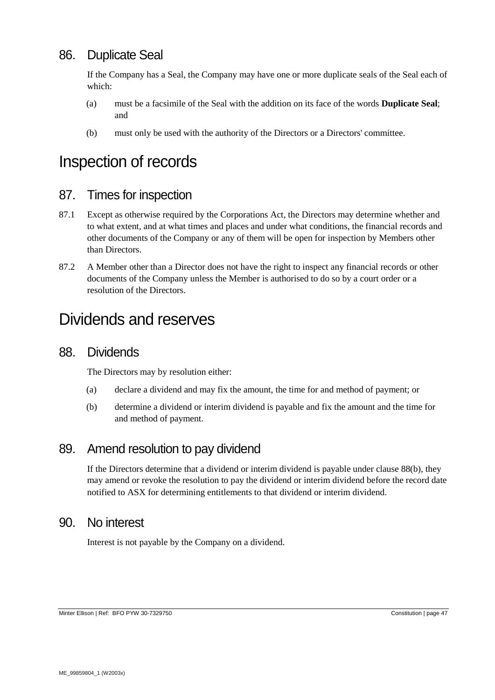# 86. Duplicate Seal

If the Company has a Seal, the Company may have one or more duplicate seals of the Seal each of which:

- (a) must be a facsimile of the Seal with the addition on its face of the words **Duplicate Seal**; and
- (b) must only be used with the authority of the Directors or a Directors' committee.

# Inspection of records

#### 87. Times for inspection

- 87.1 Except as otherwise required by the Corporations Act, the Directors may determine whether and to what extent, and at what times and places and under what conditions, the financial records and other documents of the Company or any of them will be open for inspection by Members other than Directors.
- 87.2 A Member other than a Director does not have the right to inspect any financial records or other documents of the Company unless the Member is authorised to do so by a court order or a resolution of the Directors.

# Dividends and reserves

#### 88. Dividends

The Directors may by resolution either:

- (a) declare a dividend and may fix the amount, the time for and method of payment; or
- <span id="page-46-0"></span>(b) determine a dividend or interim dividend is payable and fix the amount and the time for and method of payment.

#### 89. Amend resolution to pay dividend

If the Directors determine that a dividend or interim dividend is payable under clause [88\(b\),](#page-46-0) they may amend or revoke the resolution to pay the dividend or interim dividend before the record date notified to ASX for determining entitlements to that dividend or interim dividend.

#### 90. No interest

Interest is not payable by the Company on a dividend.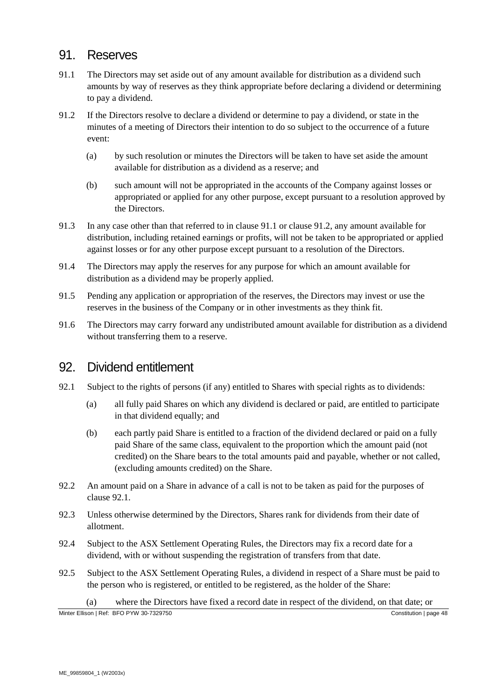#### 91. Reserves

- <span id="page-47-0"></span>91.1 The Directors may set aside out of any amount available for distribution as a dividend such amounts by way of reserves as they think appropriate before declaring a dividend or determining to pay a dividend.
- <span id="page-47-1"></span>91.2 If the Directors resolve to declare a dividend or determine to pay a dividend, or state in the minutes of a meeting of Directors their intention to do so subject to the occurrence of a future event:
	- (a) by such resolution or minutes the Directors will be taken to have set aside the amount available for distribution as a dividend as a reserve; and
	- (b) such amount will not be appropriated in the accounts of the Company against losses or appropriated or applied for any other purpose, except pursuant to a resolution approved by the Directors.
- 91.3 In any case other than that referred to in clause [91.1](#page-47-0) or clause [91.2,](#page-47-1) any amount available for distribution, including retained earnings or profits, will not be taken to be appropriated or applied against losses or for any other purpose except pursuant to a resolution of the Directors.
- 91.4 The Directors may apply the reserves for any purpose for which an amount available for distribution as a dividend may be properly applied.
- 91.5 Pending any application or appropriation of the reserves, the Directors may invest or use the reserves in the business of the Company or in other investments as they think fit.
- 91.6 The Directors may carry forward any undistributed amount available for distribution as a dividend without transferring them to a reserve.

#### 92. Dividend entitlement

- <span id="page-47-2"></span>92.1 Subject to the rights of persons (if any) entitled to Shares with special rights as to dividends:
	- (a) all fully paid Shares on which any dividend is declared or paid, are entitled to participate in that dividend equally; and
	- (b) each partly paid Share is entitled to a fraction of the dividend declared or paid on a fully paid Share of the same class, equivalent to the proportion which the amount paid (not credited) on the Share bears to the total amounts paid and payable, whether or not called, (excluding amounts credited) on the Share.
- 92.2 An amount paid on a Share in advance of a call is not to be taken as paid for the purposes of clause [92.1.](#page-47-2)
- 92.3 Unless otherwise determined by the Directors, Shares rank for dividends from their date of allotment.
- 92.4 Subject to the ASX Settlement Operating Rules, the Directors may fix a record date for a dividend, with or without suspending the registration of transfers from that date.
- 92.5 Subject to the ASX Settlement Operating Rules, a dividend in respect of a Share must be paid to the person who is registered, or entitled to be registered, as the holder of the Share:

(a) where the Directors have fixed a record date in respect of the dividend, on that date; or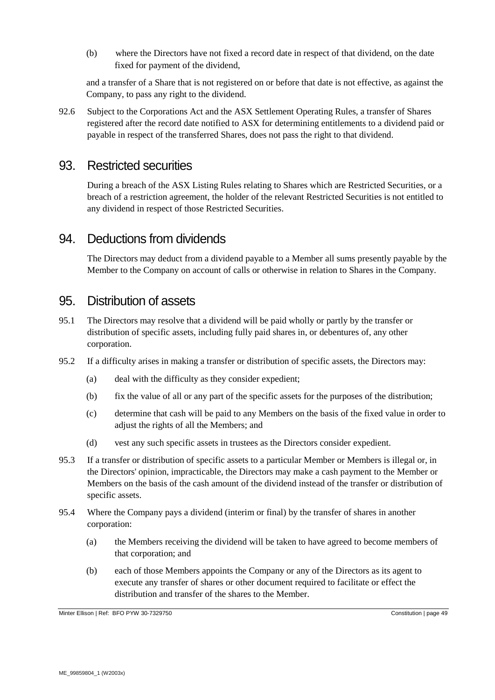(b) where the Directors have not fixed a record date in respect of that dividend, on the date fixed for payment of the dividend,

and a transfer of a Share that is not registered on or before that date is not effective, as against the Company, to pass any right to the dividend.

92.6 Subject to the Corporations Act and the ASX Settlement Operating Rules, a transfer of Shares registered after the record date notified to ASX for determining entitlements to a dividend paid or payable in respect of the transferred Shares, does not pass the right to that dividend.

#### 93. Restricted securities

During a breach of the ASX Listing Rules relating to Shares which are Restricted Securities, or a breach of a restriction agreement, the holder of the relevant Restricted Securities is not entitled to any dividend in respect of those Restricted Securities.

#### 94. Deductions from dividends

The Directors may deduct from a dividend payable to a Member all sums presently payable by the Member to the Company on account of calls or otherwise in relation to Shares in the Company.

#### 95. Distribution of assets

- 95.1 The Directors may resolve that a dividend will be paid wholly or partly by the transfer or distribution of specific assets, including fully paid shares in, or debentures of, any other corporation.
- 95.2 If a difficulty arises in making a transfer or distribution of specific assets, the Directors may:
	- (a) deal with the difficulty as they consider expedient;
	- (b) fix the value of all or any part of the specific assets for the purposes of the distribution;
	- (c) determine that cash will be paid to any Members on the basis of the fixed value in order to adjust the rights of all the Members; and
	- (d) vest any such specific assets in trustees as the Directors consider expedient.
- 95.3 If a transfer or distribution of specific assets to a particular Member or Members is illegal or, in the Directors' opinion, impracticable, the Directors may make a cash payment to the Member or Members on the basis of the cash amount of the dividend instead of the transfer or distribution of specific assets.
- 95.4 Where the Company pays a dividend (interim or final) by the transfer of shares in another corporation:
	- (a) the Members receiving the dividend will be taken to have agreed to become members of that corporation; and
	- (b) each of those Members appoints the Company or any of the Directors as its agent to execute any transfer of shares or other document required to facilitate or effect the distribution and transfer of the shares to the Member.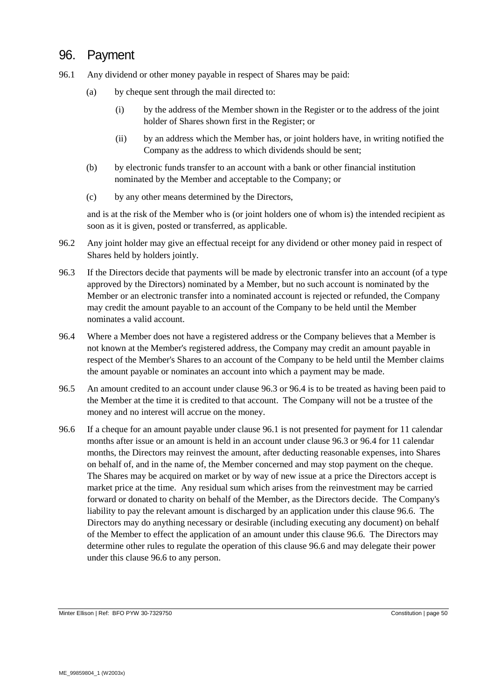### 96. Payment

- <span id="page-49-3"></span><span id="page-49-0"></span>96.1 Any dividend or other money payable in respect of Shares may be paid:
	- (a) by cheque sent through the mail directed to:
		- (i) by the address of the Member shown in the Register or to the address of the joint holder of Shares shown first in the Register; or
		- (ii) by an address which the Member has, or joint holders have, in writing notified the Company as the address to which dividends should be sent;
	- (b) by electronic funds transfer to an account with a bank or other financial institution nominated by the Member and acceptable to the Company; or
	- (c) by any other means determined by the Directors,

and is at the risk of the Member who is (or joint holders one of whom is) the intended recipient as soon as it is given, posted or transferred, as applicable.

- 96.2 Any joint holder may give an effectual receipt for any dividend or other money paid in respect of Shares held by holders jointly.
- <span id="page-49-1"></span>96.3 If the Directors decide that payments will be made by electronic transfer into an account (of a type approved by the Directors) nominated by a Member, but no such account is nominated by the Member or an electronic transfer into a nominated account is rejected or refunded, the Company may credit the amount payable to an account of the Company to be held until the Member nominates a valid account.
- <span id="page-49-2"></span>96.4 Where a Member does not have a registered address or the Company believes that a Member is not known at the Member's registered address, the Company may credit an amount payable in respect of the Member's Shares to an account of the Company to be held until the Member claims the amount payable or nominates an account into which a payment may be made.
- 96.5 An amount credited to an account under clause [96.3](#page-49-1) or [96.4](#page-49-2) is to be treated as having been paid to the Member at the time it is credited to that account. The Company will not be a trustee of the money and no interest will accrue on the money.
- <span id="page-49-4"></span>96.6 If a cheque for an amount payable under clause [96.1](#page-49-3) is not presented for payment for 11 calendar months after issue or an amount is held in an account under claus[e 96.3](#page-49-1) or [96.4](#page-49-2) for 11 calendar months, the Directors may reinvest the amount, after deducting reasonable expenses, into Shares on behalf of, and in the name of, the Member concerned and may stop payment on the cheque. The Shares may be acquired on market or by way of new issue at a price the Directors accept is market price at the time. Any residual sum which arises from the reinvestment may be carried forward or donated to charity on behalf of the Member, as the Directors decide. The Company's liability to pay the relevant amount is discharged by an application under this claus[e 96.6.](#page-49-4) The Directors may do anything necessary or desirable (including executing any document) on behalf of the Member to effect the application of an amount under this clause [96.6.](#page-49-4) The Directors may determine other rules to regulate the operation of this clause [96.6](#page-49-4) and may delegate their power under this clause [96.6](#page-49-4) to any person.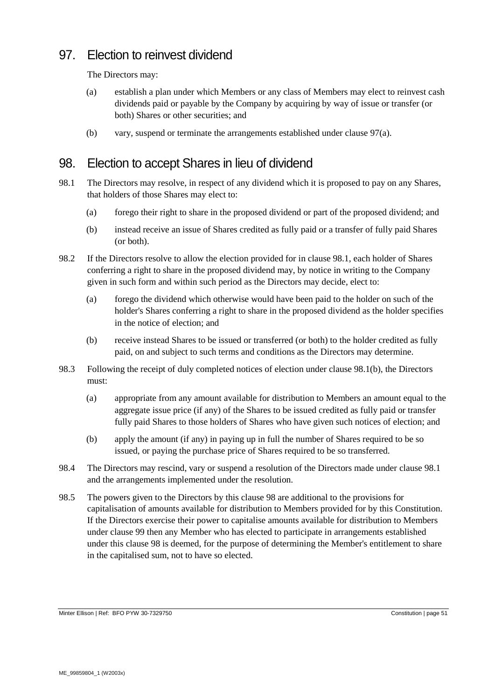# 97. Election to reinvest dividend

The Directors may:

- <span id="page-50-0"></span>(a) establish a plan under which Members or any class of Members may elect to reinvest cash dividends paid or payable by the Company by acquiring by way of issue or transfer (or both) Shares or other securities; and
- (b) vary, suspend or terminate the arrangements established under clause [97\(a\).](#page-50-0)

### <span id="page-50-3"></span>98. Election to accept Shares in lieu of dividend

- <span id="page-50-1"></span>98.1 The Directors may resolve, in respect of any dividend which it is proposed to pay on any Shares, that holders of those Shares may elect to:
	- (a) forego their right to share in the proposed dividend or part of the proposed dividend; and
	- (b) instead receive an issue of Shares credited as fully paid or a transfer of fully paid Shares (or both).
- <span id="page-50-2"></span>98.2 If the Directors resolve to allow the election provided for in clause [98.1,](#page-50-1) each holder of Shares conferring a right to share in the proposed dividend may, by notice in writing to the Company given in such form and within such period as the Directors may decide, elect to:
	- (a) forego the dividend which otherwise would have been paid to the holder on such of the holder's Shares conferring a right to share in the proposed dividend as the holder specifies in the notice of election; and
	- (b) receive instead Shares to be issued or transferred (or both) to the holder credited as fully paid, on and subject to such terms and conditions as the Directors may determine.
- 98.3 Following the receipt of duly completed notices of election under clause [98.1\(b\),](#page-50-2) the Directors must:
	- (a) appropriate from any amount available for distribution to Members an amount equal to the aggregate issue price (if any) of the Shares to be issued credited as fully paid or transfer fully paid Shares to those holders of Shares who have given such notices of election; and
	- (b) apply the amount (if any) in paying up in full the number of Shares required to be so issued, or paying the purchase price of Shares required to be so transferred.
- 98.4 The Directors may rescind, vary or suspend a resolution of the Directors made under clause [98.1](#page-50-1) and the arrangements implemented under the resolution.
- 98.5 The powers given to the Directors by this clause [98](#page-50-3) are additional to the provisions for capitalisation of amounts available for distribution to Members provided for by this Constitution. If the Directors exercise their power to capitalise amounts available for distribution to Members under clause [99](#page-51-0) then any Member who has elected to participate in arrangements established under this clause [98](#page-50-3) is deemed, for the purpose of determining the Member's entitlement to share in the capitalised sum, not to have so elected.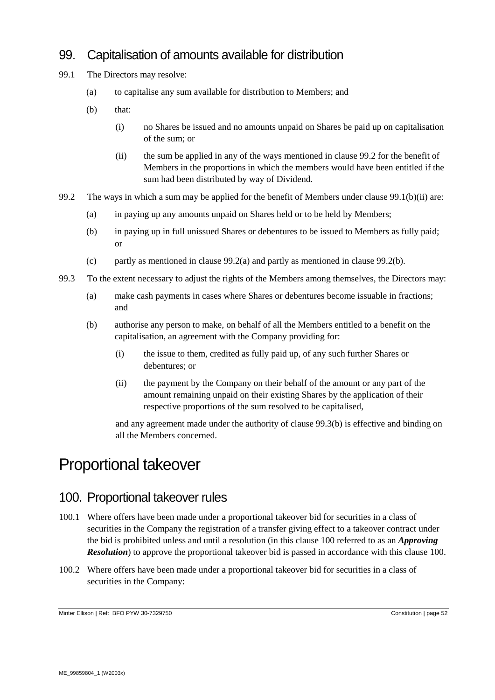# 99. Capitalisation of amounts available for distribution

- <span id="page-51-0"></span>99.1 The Directors may resolve:
	- (a) to capitalise any sum available for distribution to Members; and
	- (b) that:
		- (i) no Shares be issued and no amounts unpaid on Shares be paid up on capitalisation of the sum; or
		- (ii) the sum be applied in any of the ways mentioned in clause [99.2](#page-51-1) for the benefit of Members in the proportions in which the members would have been entitled if the sum had been distributed by way of Dividend.
- <span id="page-51-4"></span><span id="page-51-3"></span><span id="page-51-2"></span><span id="page-51-1"></span>99.2 The ways in which a sum may be applied for the benefit of Members under clause [99.1\(b\)\(ii\)](#page-51-2) are:
	- (a) in paying up any amounts unpaid on Shares held or to be held by Members;
	- (b) in paying up in full unissued Shares or debentures to be issued to Members as fully paid; or
	- (c) partly as mentioned in clause  $99.2(a)$  and partly as mentioned in clause  $99.2(b)$ .
- <span id="page-51-5"></span>99.3 To the extent necessary to adjust the rights of the Members among themselves, the Directors may:
	- (a) make cash payments in cases where Shares or debentures become issuable in fractions; and
	- (b) authorise any person to make, on behalf of all the Members entitled to a benefit on the capitalisation, an agreement with the Company providing for:
		- (i) the issue to them, credited as fully paid up, of any such further Shares or debentures; or
		- (ii) the payment by the Company on their behalf of the amount or any part of the amount remaining unpaid on their existing Shares by the application of their respective proportions of the sum resolved to be capitalised,

and any agreement made under the authority of clause [99.3\(b\)](#page-51-5) is effective and binding on all the Members concerned.

# Proportional takeover

#### <span id="page-51-6"></span>100. Proportional takeover rules

- 100.1 Where offers have been made under a proportional takeover bid for securities in a class of securities in the Company the registration of a transfer giving effect to a takeover contract under the bid is prohibited unless and until a resolution (in this clause [100](#page-51-6) referred to as an *Approving Resolution*) to approve the proportional takeover bid is passed in accordance with this clause [100.](#page-51-6)
- 100.2 Where offers have been made under a proportional takeover bid for securities in a class of securities in the Company: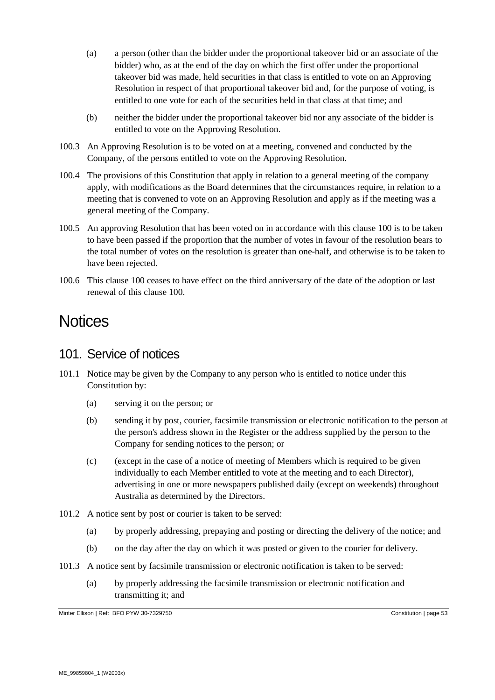- (a) a person (other than the bidder under the proportional takeover bid or an associate of the bidder) who, as at the end of the day on which the first offer under the proportional takeover bid was made, held securities in that class is entitled to vote on an Approving Resolution in respect of that proportional takeover bid and, for the purpose of voting, is entitled to one vote for each of the securities held in that class at that time; and
- (b) neither the bidder under the proportional takeover bid nor any associate of the bidder is entitled to vote on the Approving Resolution.
- 100.3 An Approving Resolution is to be voted on at a meeting, convened and conducted by the Company, of the persons entitled to vote on the Approving Resolution.
- 100.4 The provisions of this Constitution that apply in relation to a general meeting of the company apply, with modifications as the Board determines that the circumstances require, in relation to a meeting that is convened to vote on an Approving Resolution and apply as if the meeting was a general meeting of the Company.
- 100.5 An approving Resolution that has been voted on in accordance with this claus[e 100](#page-51-6) is to be taken to have been passed if the proportion that the number of votes in favour of the resolution bears to the total number of votes on the resolution is greater than one-half, and otherwise is to be taken to have been rejected.
- 100.6 This clause [100](#page-51-6) ceases to have effect on the third anniversary of the date of the adoption or last renewal of this clause [100.](#page-51-6)

# **Notices**

# <span id="page-52-2"></span>101. Service of notices

- <span id="page-52-1"></span><span id="page-52-0"></span>101.1 Notice may be given by the Company to any person who is entitled to notice under this Constitution by:
	- (a) serving it on the person; or
	- (b) sending it by post, courier, facsimile transmission or electronic notification to the person at the person's address shown in the Register or the address supplied by the person to the Company for sending notices to the person; or
	- (c) (except in the case of a notice of meeting of Members which is required to be given individually to each Member entitled to vote at the meeting and to each Director), advertising in one or more newspapers published daily (except on weekends) throughout Australia as determined by the Directors.
- 101.2 A notice sent by post or courier is taken to be served:
	- (a) by properly addressing, prepaying and posting or directing the delivery of the notice; and
	- (b) on the day after the day on which it was posted or given to the courier for delivery.
- 101.3 A notice sent by facsimile transmission or electronic notification is taken to be served:
	- (a) by properly addressing the facsimile transmission or electronic notification and transmitting it; and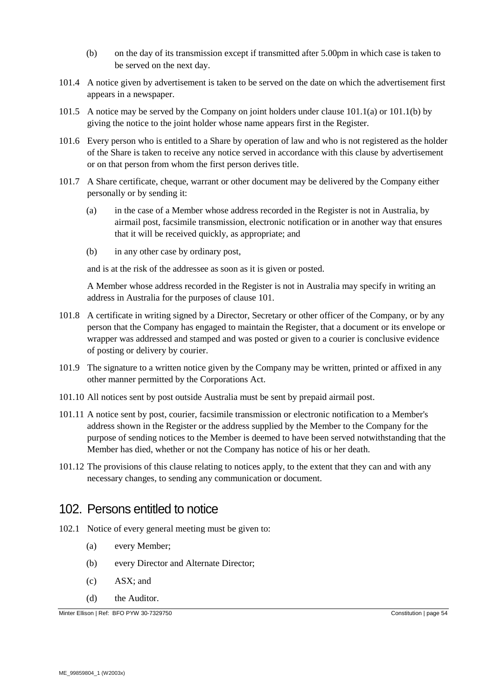- (b) on the day of its transmission except if transmitted after 5.00pm in which case is taken to be served on the next day.
- 101.4 A notice given by advertisement is taken to be served on the date on which the advertisement first appears in a newspaper.
- 101.5 A notice may be served by the Company on joint holders under clause [101.1\(a\)](#page-52-0) or [101.1\(b\)](#page-52-1) by giving the notice to the joint holder whose name appears first in the Register.
- 101.6 Every person who is entitled to a Share by operation of law and who is not registered as the holder of the Share is taken to receive any notice served in accordance with this clause by advertisement or on that person from whom the first person derives title.
- 101.7 A Share certificate, cheque, warrant or other document may be delivered by the Company either personally or by sending it:
	- (a) in the case of a Member whose address recorded in the Register is not in Australia, by airmail post, facsimile transmission, electronic notification or in another way that ensures that it will be received quickly, as appropriate; and
	- (b) in any other case by ordinary post,

and is at the risk of the addressee as soon as it is given or posted.

A Member whose address recorded in the Register is not in Australia may specify in writing an address in Australia for the purposes of clause [101.](#page-52-2)

- 101.8 A certificate in writing signed by a Director, Secretary or other officer of the Company, or by any person that the Company has engaged to maintain the Register, that a document or its envelope or wrapper was addressed and stamped and was posted or given to a courier is conclusive evidence of posting or delivery by courier.
- 101.9 The signature to a written notice given by the Company may be written, printed or affixed in any other manner permitted by the Corporations Act.
- 101.10 All notices sent by post outside Australia must be sent by prepaid airmail post.
- 101.11 A notice sent by post, courier, facsimile transmission or electronic notification to a Member's address shown in the Register or the address supplied by the Member to the Company for the purpose of sending notices to the Member is deemed to have been served notwithstanding that the Member has died, whether or not the Company has notice of his or her death.
- 101.12 The provisions of this clause relating to notices apply, to the extent that they can and with any necessary changes, to sending any communication or document.

### 102. Persons entitled to notice

- <span id="page-53-0"></span>102.1 Notice of every general meeting must be given to:
	- (a) every Member;
	- (b) every Director and Alternate Director;
	- (c) ASX; and
	- (d) the Auditor.

Minter Ellison | Ref: BFO PYW 30-7329750 Constitution | page 54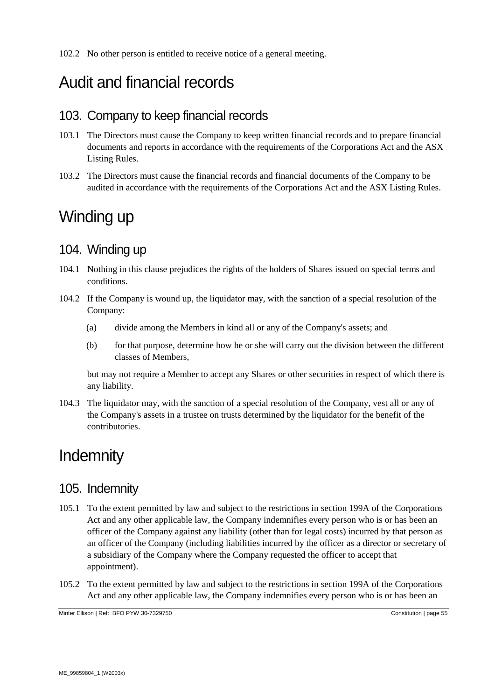# Audit and financial records

### 103. Company to keep financial records

- 103.1 The Directors must cause the Company to keep written financial records and to prepare financial documents and reports in accordance with the requirements of the Corporations Act and the ASX Listing Rules.
- 103.2 The Directors must cause the financial records and financial documents of the Company to be audited in accordance with the requirements of the Corporations Act and the ASX Listing Rules.

# Winding up

# 104. Winding up

- 104.1 Nothing in this clause prejudices the rights of the holders of Shares issued on special terms and conditions.
- 104.2 If the Company is wound up, the liquidator may, with the sanction of a special resolution of the Company:
	- (a) divide among the Members in kind all or any of the Company's assets; and
	- (b) for that purpose, determine how he or she will carry out the division between the different classes of Members,

but may not require a Member to accept any Shares or other securities in respect of which there is any liability.

104.3 The liquidator may, with the sanction of a special resolution of the Company, vest all or any of the Company's assets in a trustee on trusts determined by the liquidator for the benefit of the contributories.

# **Indemnity**

# <span id="page-54-2"></span>105. Indemnity

- <span id="page-54-0"></span>105.1 To the extent permitted by law and subject to the restrictions in section 199A of the Corporations Act and any other applicable law, the Company indemnifies every person who is or has been an officer of the Company against any liability (other than for legal costs) incurred by that person as an officer of the Company (including liabilities incurred by the officer as a director or secretary of a subsidiary of the Company where the Company requested the officer to accept that appointment).
- <span id="page-54-1"></span>105.2 To the extent permitted by law and subject to the restrictions in section 199A of the Corporations Act and any other applicable law, the Company indemnifies every person who is or has been an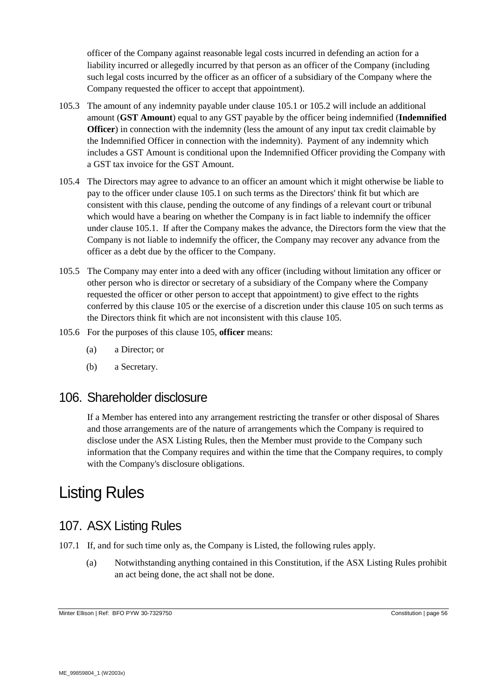officer of the Company against reasonable legal costs incurred in defending an action for a liability incurred or allegedly incurred by that person as an officer of the Company (including such legal costs incurred by the officer as an officer of a subsidiary of the Company where the Company requested the officer to accept that appointment).

- 105.3 The amount of any indemnity payable under clause [105.1](#page-54-0) or [105.2](#page-54-1) will include an additional amount (**GST Amount**) equal to any GST payable by the officer being indemnified (**Indemnified Officer**) in connection with the indemnity (less the amount of any input tax credit claimable by the Indemnified Officer in connection with the indemnity). Payment of any indemnity which includes a GST Amount is conditional upon the Indemnified Officer providing the Company with a GST tax invoice for the GST Amount.
- 105.4 The Directors may agree to advance to an officer an amount which it might otherwise be liable to pay to the officer under clause [105.1](#page-54-0) on such terms as the Directors' think fit but which are consistent with this clause, pending the outcome of any findings of a relevant court or tribunal which would have a bearing on whether the Company is in fact liable to indemnify the officer under clause [105.1.](#page-54-0) If after the Company makes the advance, the Directors form the view that the Company is not liable to indemnify the officer, the Company may recover any advance from the officer as a debt due by the officer to the Company.
- 105.5 The Company may enter into a deed with any officer (including without limitation any officer or other person who is director or secretary of a subsidiary of the Company where the Company requested the officer or other person to accept that appointment) to give effect to the rights conferred by this clause [105](#page-54-2) or the exercise of a discretion under this clause [105](#page-54-2) on such terms as the Directors think fit which are not inconsistent with this clause [105.](#page-54-2)
- 105.6 For the purposes of this clause [105,](#page-54-2) **officer** means:
	- (a) a Director; or
	- (b) a Secretary.

# 106. Shareholder disclosure

If a Member has entered into any arrangement restricting the transfer or other disposal of Shares and those arrangements are of the nature of arrangements which the Company is required to disclose under the ASX Listing Rules, then the Member must provide to the Company such information that the Company requires and within the time that the Company requires, to comply with the Company's disclosure obligations.

# Listing Rules

# 107. ASX Listing Rules

- <span id="page-55-0"></span>107.1 If, and for such time only as, the Company is Listed, the following rules apply.
	- (a) Notwithstanding anything contained in this Constitution, if the ASX Listing Rules prohibit an act being done, the act shall not be done.